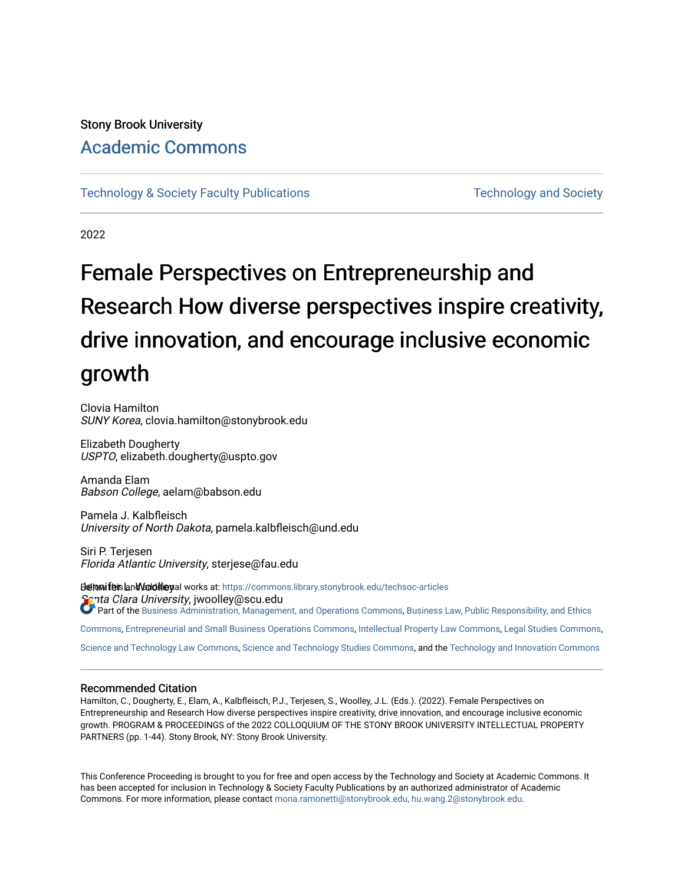# Stony Brook University [Academic Commons](https://commons.library.stonybrook.edu/)

[Technology & Society Faculty Publications](https://commons.library.stonybrook.edu/techsoc-articles) Technology and Society

2022

# Female Perspectives on Entrepreneurship and Research How diverse perspectives inspire creativity, drive innovation, and encourage inclusive economic growth

Clovia Hamilton SUNY Korea, clovia.hamilton@stonybrook.edu

Elizabeth Dougherty USPTO, elizabeth.dougherty@uspto.gov

Amanda Elam Babson College, aelam@babson.edu

Pamela J. Kalbfleisch University of North Dakota, pamela.kalbfleisch@und.edu

Siri P. Terjesen Florida Atlantic University, sterjese@fau.edu

**Belowifeis and Vadditiey**al works at: https://commons.library.stonybrook.edu/techsoc-articles Santa Clara University, jwoolley@scu.edu Part of the [Business Administration, Management, and Operations Commons,](https://network.bepress.com/hgg/discipline/623?utm_source=commons.library.stonybrook.edu%2Ftechsoc-articles%2F32&utm_medium=PDF&utm_campaign=PDFCoverPages) Business Law, Public Responsibility, and Ethics

[Commons,](https://network.bepress.com/hgg/discipline/628?utm_source=commons.library.stonybrook.edu%2Ftechsoc-articles%2F32&utm_medium=PDF&utm_campaign=PDFCoverPages) [Entrepreneurial and Small Business Operations Commons](https://network.bepress.com/hgg/discipline/630?utm_source=commons.library.stonybrook.edu%2Ftechsoc-articles%2F32&utm_medium=PDF&utm_campaign=PDFCoverPages), [Intellectual Property Law Commons,](https://network.bepress.com/hgg/discipline/896?utm_source=commons.library.stonybrook.edu%2Ftechsoc-articles%2F32&utm_medium=PDF&utm_campaign=PDFCoverPages) [Legal Studies Commons](https://network.bepress.com/hgg/discipline/366?utm_source=commons.library.stonybrook.edu%2Ftechsoc-articles%2F32&utm_medium=PDF&utm_campaign=PDFCoverPages),

[Science and Technology Law Commons,](https://network.bepress.com/hgg/discipline/875?utm_source=commons.library.stonybrook.edu%2Ftechsoc-articles%2F32&utm_medium=PDF&utm_campaign=PDFCoverPages) [Science and Technology Studies Commons,](https://network.bepress.com/hgg/discipline/435?utm_source=commons.library.stonybrook.edu%2Ftechsoc-articles%2F32&utm_medium=PDF&utm_campaign=PDFCoverPages) and the [Technology and Innovation Commons](https://network.bepress.com/hgg/discipline/644?utm_source=commons.library.stonybrook.edu%2Ftechsoc-articles%2F32&utm_medium=PDF&utm_campaign=PDFCoverPages)

#### Recommended Citation

Hamilton, C., Dougherty, E., Elam, A., Kalbfleisch, P.J., Terjesen, S., Woolley, J.L. (Eds.). (2022). Female Perspectives on Entrepreneurship and Research How diverse perspectives inspire creativity, drive innovation, and encourage inclusive economic growth. PROGRAM & PROCEEDINGS of the 2022 COLLOQUIUM OF THE STONY BROOK UNIVERSITY INTELLECTUAL PROPERTY PARTNERS (pp. 1-44). Stony Brook, NY: Stony Brook University.

This Conference Proceeding is brought to you for free and open access by the Technology and Society at Academic Commons. It has been accepted for inclusion in Technology & Society Faculty Publications by an authorized administrator of Academic Commons. For more information, please contact [mona.ramonetti@stonybrook.edu, hu.wang.2@stonybrook.edu.](mailto:mona.ramonetti@stonybrook.edu,%20hu.wang.2@stonybrook.edu)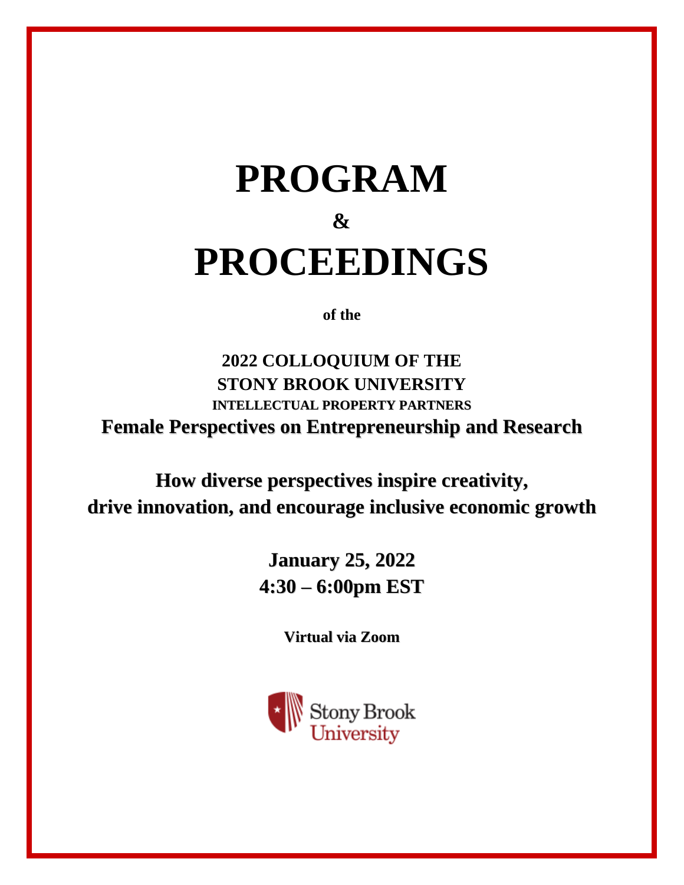# **PROGRAM & PROCEEDINGS**

**of the**

**2022 COLLOQUIUM OF THE STONY BROOK UNIVERSITY INTELLECTUAL PROPERTY PARTNERS Female Perspectives on Entrepreneurship and Research**

**How diverse perspectives inspire creativity, drive innovation, and encourage inclusive economic growth**

> **January 25, 2022 4:30 – 6:00pm EST**

> > **Virtual via Zoom**

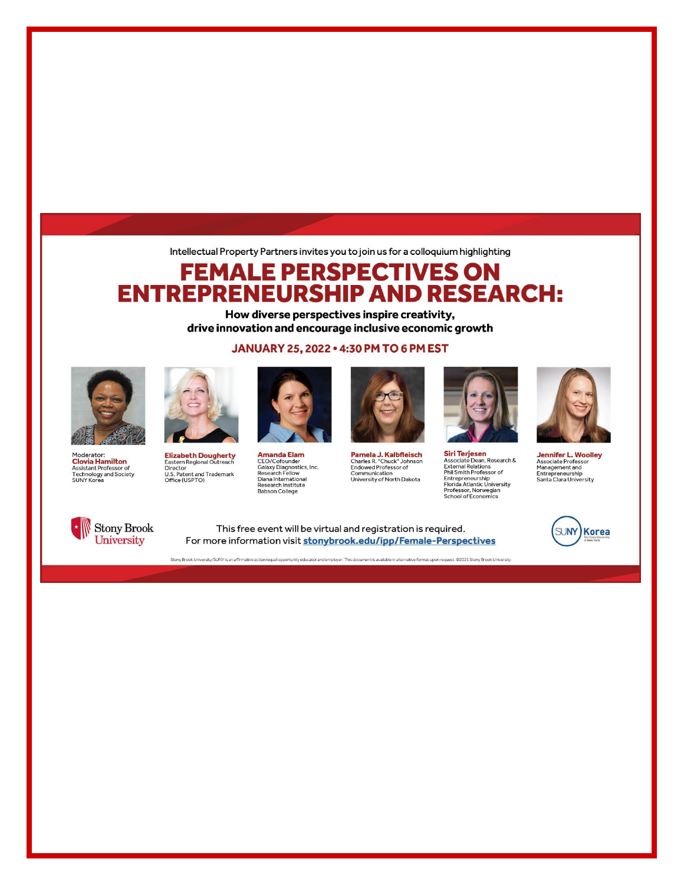Intellectual Property Partners invites you to join us for a colloquium highlighting

# **FEMALE PERSPECTIVES ON ENTREPRENEURSHIP AND RESEARCH:**

How diverse perspectives inspire creativity, drive innovation and encourage inclusive economic growth

JANUARY 25, 2022 . 4:30 PM TO 6 PM EST







Elizabeth Dougherty<br>Eastern Regional Outreach<br>Director Director<br>U.S. Patent and Trademark<br>Office (USPTO)



**Amanda Elam** CEO/Cofounder<br>Galaxy Diagnostics, Inc.<br>Research Fellow Diana International **Research Institute Babson College** 



**Pamela J. Kalbfleisch**<br>Charles R. "Chuck" Johnson<br>Endowed Professor of Communication<br>University of North Dakota



**Siri Terjesen**<br>Associate Dean, Research &<br>External Relations<br>Phil Smith Professor of<br>Entrepreneurship<br>Professor, Norwegian<br>Professor, Norwegian<br>School of Economics



**Jennifer L. Woolley Associate Professor** Management and<br>Entrepreneurship<br>Santa Clara University

**SUNY** 

**Korea** 



This free event will be virtual and registration is required. For more information visit stonybrook.edu/ipp/Female-Perspectives

Stony Brook University/SUNY is an affirmative action/equal opportunity educator and employer. This document is available in alternative format upon request. @2021 Stony Brook University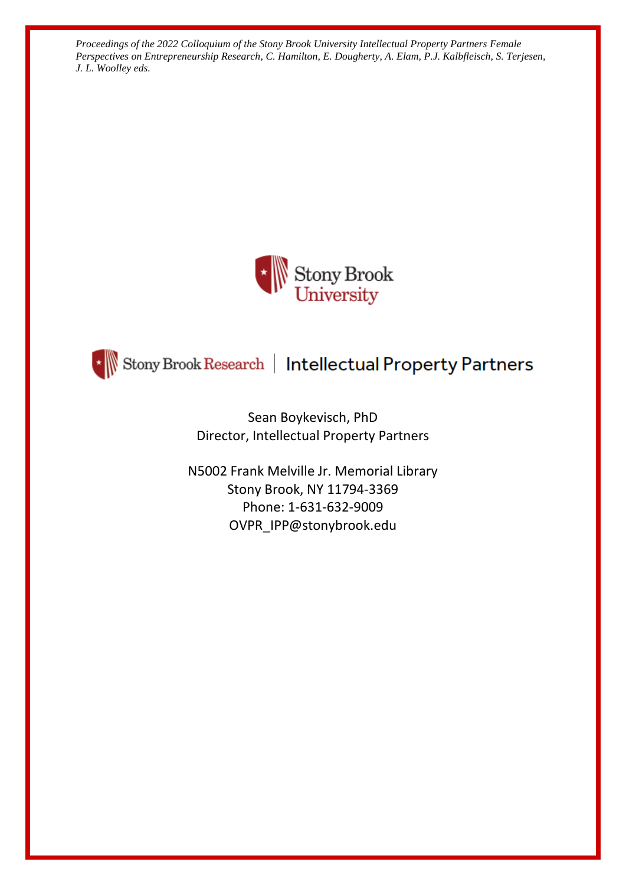



\* Stony Brook Research | Intellectual Property Partners

Sean Boykevisch, PhD Director, Intellectual Property Partners

N5002 Frank Melville Jr. Memorial Library Stony Brook, NY 11794-3369 Phone: 1-631-632-9009 OVPR\_IPP@stonybrook.edu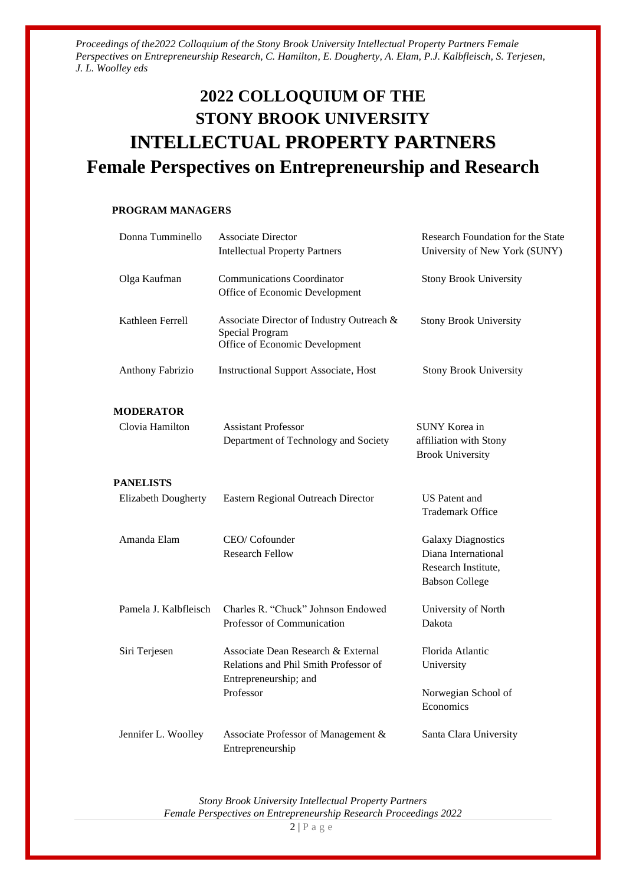# **2022 COLLOQUIUM OF THE STONY BROOK UNIVERSITY INTELLECTUAL PROPERTY PARTNERS Female Perspectives on Entrepreneurship and Research**

#### **PROGRAM MANAGERS**

| Donna Tumminello           | <b>Associate Director</b><br><b>Intellectual Property Partners</b>                                   | Research Foundation for the State<br>University of New York (SUNY)                               |
|----------------------------|------------------------------------------------------------------------------------------------------|--------------------------------------------------------------------------------------------------|
|                            |                                                                                                      |                                                                                                  |
| Olga Kaufman               | <b>Communications Coordinator</b><br>Office of Economic Development                                  | <b>Stony Brook University</b>                                                                    |
| Kathleen Ferrell           | Associate Director of Industry Outreach &<br>Special Program<br>Office of Economic Development       | <b>Stony Brook University</b>                                                                    |
| Anthony Fabrizio           | <b>Instructional Support Associate, Host</b>                                                         | <b>Stony Brook University</b>                                                                    |
| <b>MODERATOR</b>           |                                                                                                      |                                                                                                  |
| Clovia Hamilton            | <b>Assistant Professor</b><br>Department of Technology and Society                                   | <b>SUNY Korea in</b><br>affiliation with Stony<br><b>Brook University</b>                        |
| <b>PANELISTS</b>           |                                                                                                      |                                                                                                  |
| <b>Elizabeth Dougherty</b> | Eastern Regional Outreach Director                                                                   | <b>US</b> Patent and<br><b>Trademark Office</b>                                                  |
| Amanda Elam                | CEO/Cofounder<br><b>Research Fellow</b>                                                              | <b>Galaxy Diagnostics</b><br>Diana International<br>Research Institute,<br><b>Babson College</b> |
| Pamela J. Kalbfleisch      | Charles R. "Chuck" Johnson Endowed<br>Professor of Communication                                     | University of North<br>Dakota                                                                    |
| Siri Terjesen              | Associate Dean Research & External<br>Relations and Phil Smith Professor of<br>Entrepreneurship; and | Florida Atlantic<br>University                                                                   |
|                            | Professor                                                                                            | Norwegian School of<br>Economics                                                                 |
| Jennifer L. Woolley        | Associate Professor of Management &<br>Entrepreneurship                                              | Santa Clara University                                                                           |

*Stony Brook University Intellectual Property Partners Female Perspectives on Entrepreneurship Research Proceedings 2022*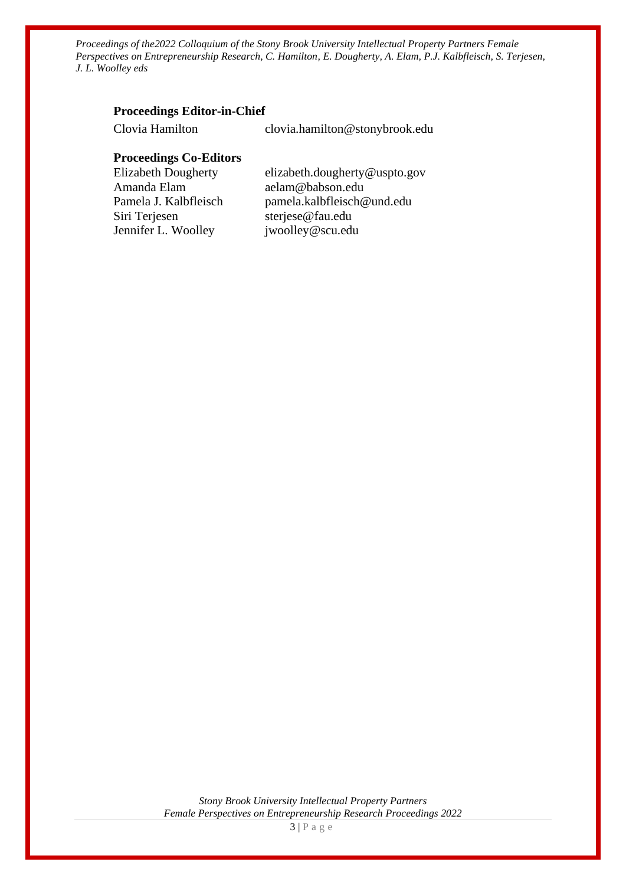#### **Proceedings Editor-in-Chief**

Clovia Hamilton clovia.hamilton@stonybrook.edu **Proceedings Co-Editors** Elizabeth Dougherty elizabeth.dougherty@uspto.gov Amanda Elam aelam@babson.edu Pamela J. Kalbfleisch pamela.kalbfleisch@und.edu Siri Terjesen sterjese@fau.edu Jennifer L. Woolley jwoolley@scu.edu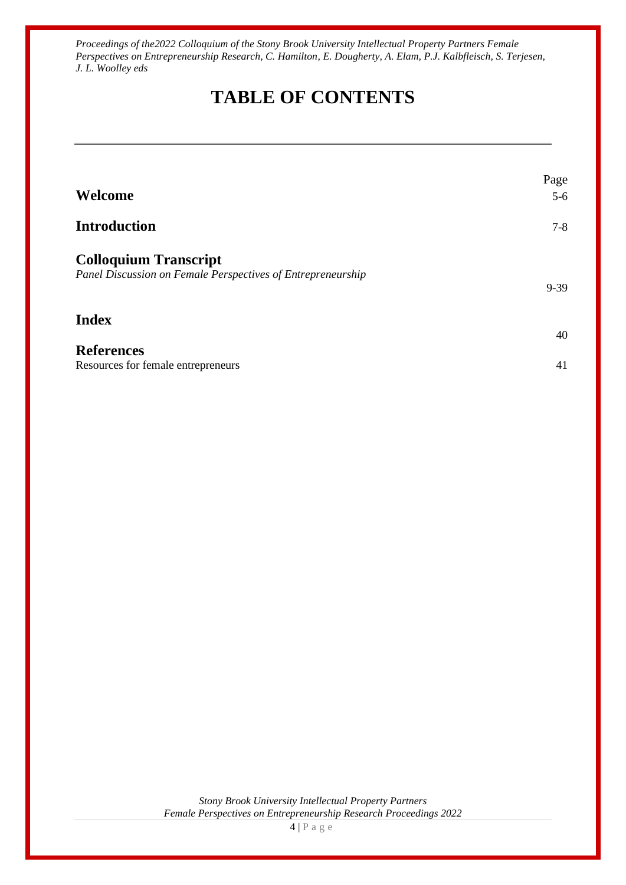# **TABLE OF CONTENTS**

|                                                             | Page     |
|-------------------------------------------------------------|----------|
| Welcome                                                     | $5-6$    |
| <b>Introduction</b>                                         | $7 - 8$  |
| <b>Colloquium Transcript</b>                                |          |
| Panel Discussion on Female Perspectives of Entrepreneurship | $9 - 39$ |
| <b>Index</b>                                                | 40       |
| <b>References</b>                                           |          |
| Resources for female entrepreneurs                          | 41       |

*Stony Brook University Intellectual Property Partners Female Perspectives on Entrepreneurship Research Proceedings 2022*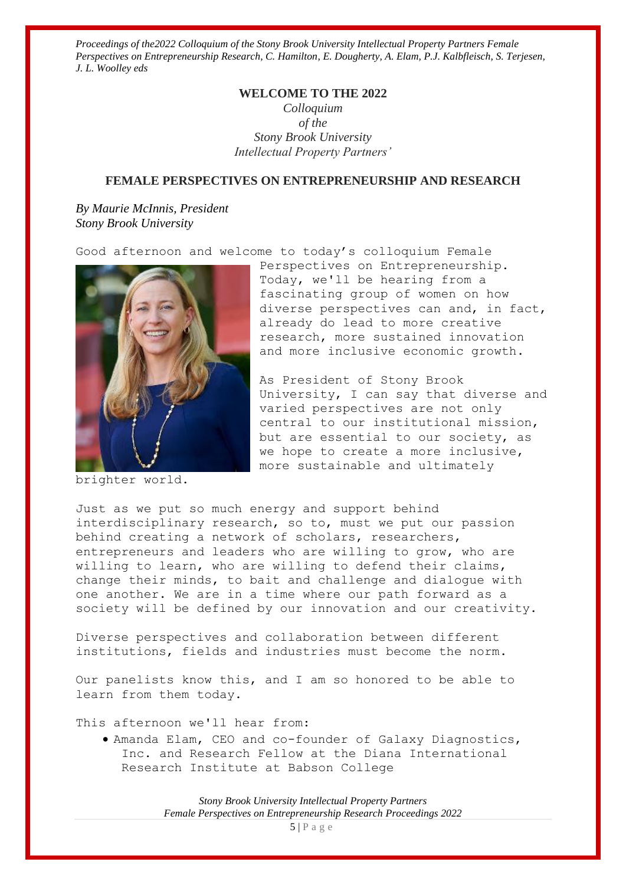#### **WELCOME TO THE 2022**

*Colloquium of the Stony Brook University Intellectual Property Partners'*

### **FEMALE PERSPECTIVES ON ENTREPRENEURSHIP AND RESEARCH**

*By Maurie McInnis, President Stony Brook University*

Good afternoon and welcome to today's colloquium Female



brighter world.

Perspectives on Entrepreneurship. Today, we'll be hearing from a fascinating group of women on how diverse perspectives can and, in fact, already do lead to more creative research, more sustained innovation and more inclusive economic growth.

As President of Stony Brook University, I can say that diverse and varied perspectives are not only central to our institutional mission, but are essential to our society, as we hope to create a more inclusive, more sustainable and ultimately

Just as we put so much energy and support behind interdisciplinary research, so to, must we put our passion behind creating a network of scholars, researchers, entrepreneurs and leaders who are willing to grow, who are willing to learn, who are willing to defend their claims, change their minds, to bait and challenge and dialogue with one another. We are in a time where our path forward as a society will be defined by our innovation and our creativity.

Diverse perspectives and collaboration between different institutions, fields and industries must become the norm.

Our panelists know this, and I am so honored to be able to learn from them today.

This afternoon we'll hear from:

• Amanda Elam, CEO and co-founder of Galaxy Diagnostics, Inc. and Research Fellow at the Diana International Research Institute at Babson College

> *Stony Brook University Intellectual Property Partners Female Perspectives on Entrepreneurship Research Proceedings 2022*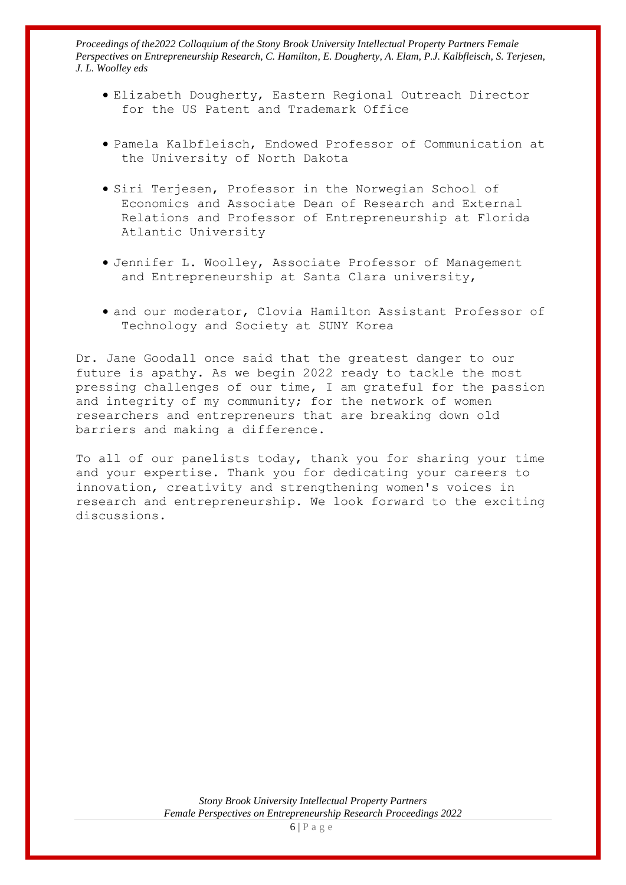- Elizabeth Dougherty, Eastern Regional Outreach Director for the US Patent and Trademark Office
- Pamela Kalbfleisch, Endowed Professor of Communication at the University of North Dakota
- Siri Terjesen, Professor in the Norwegian School of Economics and Associate Dean of Research and External Relations and Professor of Entrepreneurship at Florida Atlantic University
- Jennifer L. Woolley, Associate Professor of Management and Entrepreneurship at Santa Clara university,
- and our moderator, Clovia Hamilton Assistant Professor of Technology and Society at SUNY Korea

Dr. Jane Goodall once said that the greatest danger to our future is apathy. As we begin 2022 ready to tackle the most pressing challenges of our time, I am grateful for the passion and integrity of my community; for the network of women researchers and entrepreneurs that are breaking down old barriers and making a difference.

To all of our panelists today, thank you for sharing your time and your expertise. Thank you for dedicating your careers to innovation, creativity and strengthening women's voices in research and entrepreneurship. We look forward to the exciting discussions.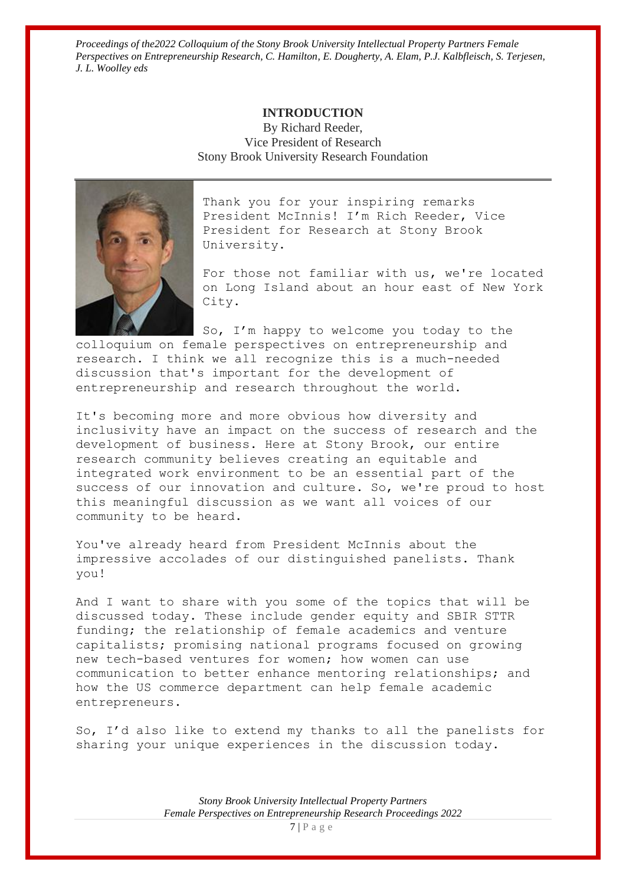#### **INTRODUCTION**

By Richard Reeder, Vice President of Research Stony Brook University Research Foundation



Thank you for your inspiring remarks President McInnis! I'm Rich Reeder, Vice President for Research at Stony Brook University.

For those not familiar with us, we're located on Long Island about an hour east of New York City.

So, I'm happy to welcome you today to the colloquium on female perspectives on entrepreneurship and research. I think we all recognize this is a much-needed discussion that's important for the development of entrepreneurship and research throughout the world.

It's becoming more and more obvious how diversity and inclusivity have an impact on the success of research and the development of business. Here at Stony Brook, our entire research community believes creating an equitable and integrated work environment to be an essential part of the success of our innovation and culture. So, we're proud to host this meaningful discussion as we want all voices of our community to be heard.

You've already heard from President McInnis about the impressive accolades of our distinguished panelists. Thank you!

And I want to share with you some of the topics that will be discussed today. These include gender equity and SBIR STTR funding; the relationship of female academics and venture capitalists; promising national programs focused on growing new tech-based ventures for women; how women can use communication to better enhance mentoring relationships; and how the US commerce department can help female academic entrepreneurs.

So, I'd also like to extend my thanks to all the panelists for sharing your unique experiences in the discussion today.

> *Stony Brook University Intellectual Property Partners Female Perspectives on Entrepreneurship Research Proceedings 2022*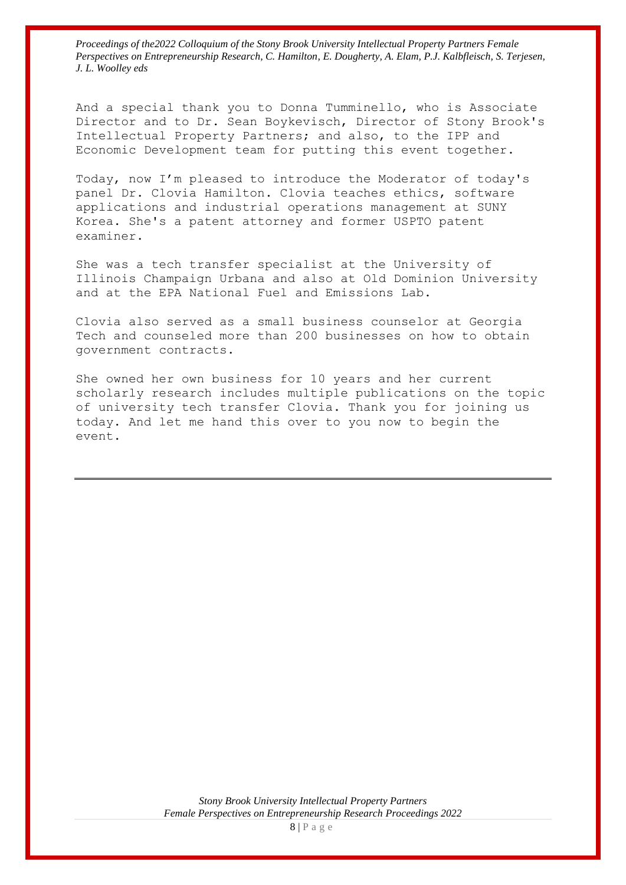And a special thank you to Donna Tumminello, who is Associate Director and to Dr. Sean Boykevisch, Director of Stony Brook's Intellectual Property Partners; and also, to the IPP and Economic Development team for putting this event together.

Today, now I'm pleased to introduce the Moderator of today's panel Dr. Clovia Hamilton. Clovia teaches ethics, software applications and industrial operations management at SUNY Korea. She's a patent attorney and former USPTO patent examiner.

She was a tech transfer specialist at the University of Illinois Champaign Urbana and also at Old Dominion University and at the EPA National Fuel and Emissions Lab.

Clovia also served as a small business counselor at Georgia Tech and counseled more than 200 businesses on how to obtain government contracts.

She owned her own business for 10 years and her current scholarly research includes multiple publications on the topic of university tech transfer Clovia. Thank you for joining us today. And let me hand this over to you now to begin the event.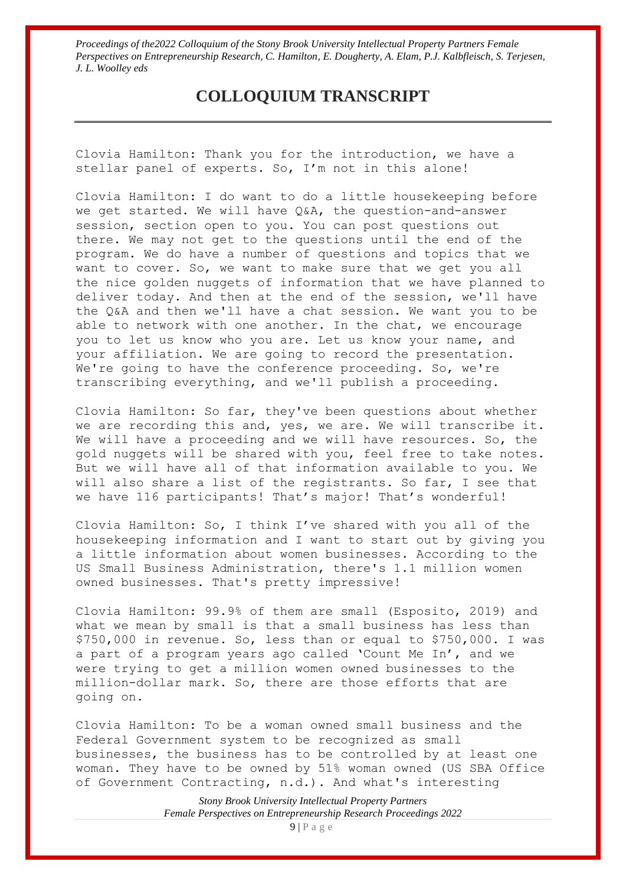# **COLLOQUIUM TRANSCRIPT**

Clovia Hamilton: Thank you for the introduction, we have a stellar panel of experts. So, I'm not in this alone!

Clovia Hamilton: I do want to do a little housekeeping before we get started. We will have Q&A, the question-and-answer session, section open to you. You can post questions out there. We may not get to the questions until the end of the program. We do have a number of questions and topics that we want to cover. So, we want to make sure that we get you all the nice golden nuggets of information that we have planned to deliver today. And then at the end of the session, we'll have the Q&A and then we'll have a chat session. We want you to be able to network with one another. In the chat, we encourage you to let us know who you are. Let us know your name, and your affiliation. We are going to record the presentation. We're going to have the conference proceeding. So, we're transcribing everything, and we'll publish a proceeding.

Clovia Hamilton: So far, they've been questions about whether we are recording this and, yes, we are. We will transcribe it. We will have a proceeding and we will have resources. So, the gold nuggets will be shared with you, feel free to take notes. But we will have all of that information available to you. We will also share a list of the registrants. So far, I see that we have 116 participants! That's major! That's wonderful!

Clovia Hamilton: So, I think I've shared with you all of the housekeeping information and I want to start out by giving you a little information about women businesses. According to the US Small Business Administration, there's 1.1 million women owned businesses. That's pretty impressive!

Clovia Hamilton: 99.9% of them are small (Esposito, 2019) and what we mean by small is that a small business has less than \$750,000 in revenue. So, less than or equal to \$750,000. I was a part of a program years ago called 'Count Me In', and we were trying to get a million women owned businesses to the million-dollar mark. So, there are those efforts that are going on.

Clovia Hamilton: To be a woman owned small business and the Federal Government system to be recognized as small businesses, the business has to be controlled by at least one woman. They have to be owned by 51% woman owned (US SBA Office of Government Contracting, n.d.). And what's interesting

> *Stony Brook University Intellectual Property Partners Female Perspectives on Entrepreneurship Research Proceedings 2022*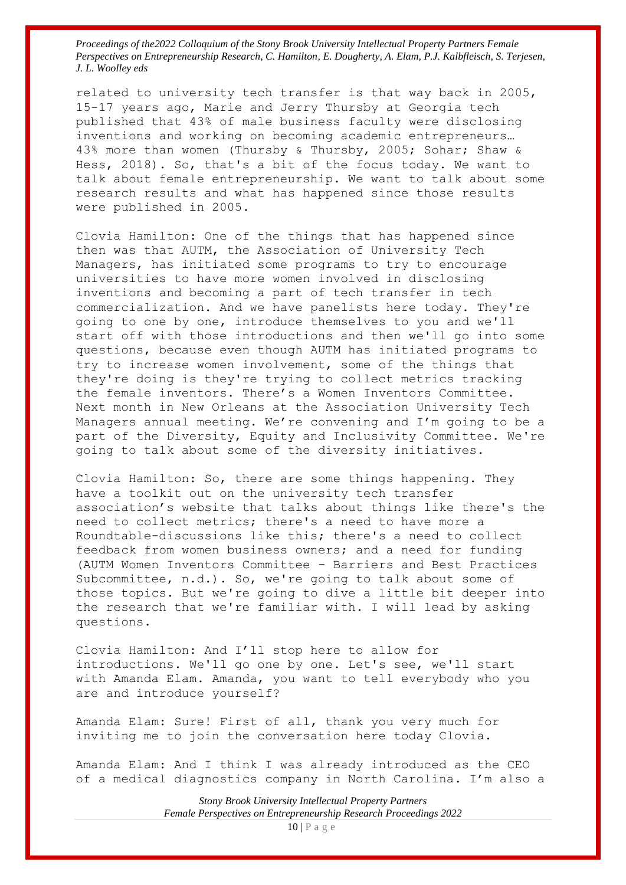related to university tech transfer is that way back in 2005, 15-17 years ago, Marie and Jerry Thursby at Georgia tech published that 43% of male business faculty were disclosing inventions and working on becoming academic entrepreneurs… 43% more than women (Thursby & Thursby, 2005; Sohar; Shaw & Hess, 2018). So, that's a bit of the focus today. We want to talk about female entrepreneurship. We want to talk about some research results and what has happened since those results were published in 2005.

Clovia Hamilton: One of the things that has happened since then was that AUTM, the Association of University Tech Managers, has initiated some programs to try to encourage universities to have more women involved in disclosing inventions and becoming a part of tech transfer in tech commercialization. And we have panelists here today. They're going to one by one, introduce themselves to you and we'll start off with those introductions and then we'll go into some questions, because even though AUTM has initiated programs to try to increase women involvement, some of the things that they're doing is they're trying to collect metrics tracking the female inventors. There's a Women Inventors Committee. Next month in New Orleans at the Association University Tech Managers annual meeting. We're convening and I'm going to be a part of the Diversity, Equity and Inclusivity Committee. We're going to talk about some of the diversity initiatives.

Clovia Hamilton: So, there are some things happening. They have a toolkit out on the university tech transfer association's website that talks about things like there's the need to collect metrics; there's a need to have more a Roundtable-discussions like this; there's a need to collect feedback from women business owners; and a need for funding (AUTM Women Inventors Committee - Barriers and Best Practices Subcommittee, n.d.). So, we're going to talk about some of those topics. But we're going to dive a little bit deeper into the research that we're familiar with. I will lead by asking questions.

Clovia Hamilton: And I'll stop here to allow for introductions. We'll go one by one. Let's see, we'll start with Amanda Elam. Amanda, you want to tell everybody who you are and introduce yourself?

Amanda Elam: Sure! First of all, thank you very much for inviting me to join the conversation here today Clovia.

Amanda Elam: And I think I was already introduced as the CEO of a medical diagnostics company in North Carolina. I'm also a

> *Stony Brook University Intellectual Property Partners Female Perspectives on Entrepreneurship Research Proceedings 2022*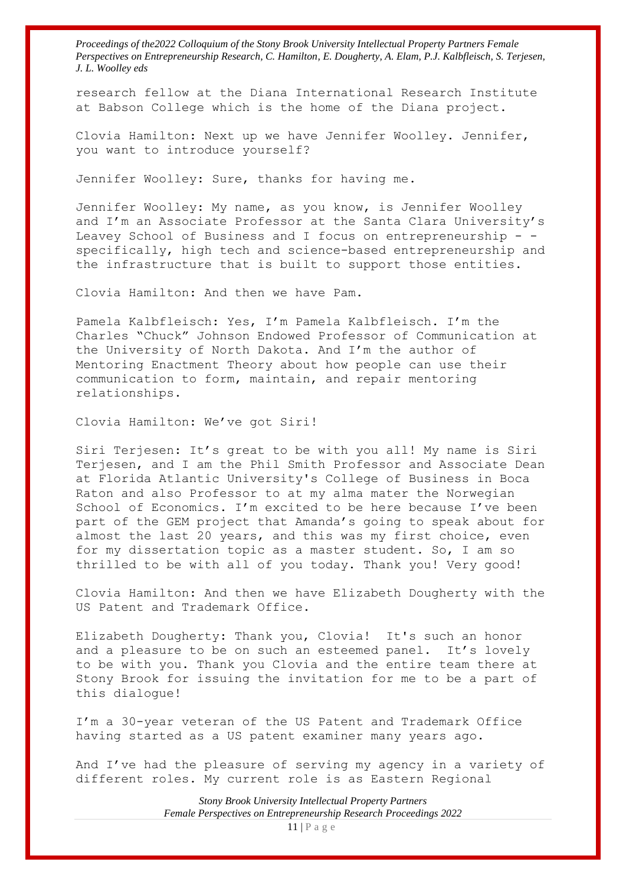research fellow at the Diana International Research Institute at Babson College which is the home of the Diana project.

Clovia Hamilton: Next up we have Jennifer Woolley. Jennifer, you want to introduce yourself?

Jennifer Woolley: Sure, thanks for having me.

Jennifer Woolley: My name, as you know, is Jennifer Woolley and I'm an Associate Professor at the Santa Clara University's Leavey School of Business and I focus on entrepreneurship - specifically, high tech and science-based entrepreneurship and the infrastructure that is built to support those entities.

Clovia Hamilton: And then we have Pam.

Pamela Kalbfleisch: Yes, I'm Pamela Kalbfleisch. I'm the Charles "Chuck" Johnson Endowed Professor of Communication at the University of North Dakota. And I'm the author of Mentoring Enactment Theory about how people can use their communication to form, maintain, and repair mentoring relationships.

Clovia Hamilton: We've got Siri!

Siri Terjesen: It's great to be with you all! My name is Siri Terjesen, and I am the Phil Smith Professor and Associate Dean at Florida Atlantic University's College of Business in Boca Raton and also Professor to at my alma mater the Norwegian School of Economics. I'm excited to be here because I've been part of the GEM project that Amanda's going to speak about for almost the last 20 years, and this was my first choice, even for my dissertation topic as a master student. So, I am so thrilled to be with all of you today. Thank you! Very good!

Clovia Hamilton: And then we have Elizabeth Dougherty with the US Patent and Trademark Office.

Elizabeth Dougherty: Thank you, Clovia! It's such an honor and a pleasure to be on such an esteemed panel. It's lovely to be with you. Thank you Clovia and the entire team there at Stony Brook for issuing the invitation for me to be a part of this dialogue!

I'm a 30-year veteran of the US Patent and Trademark Office having started as a US patent examiner many years ago.

And I've had the pleasure of serving my agency in a variety of different roles. My current role is as Eastern Regional

> *Stony Brook University Intellectual Property Partners Female Perspectives on Entrepreneurship Research Proceedings 2022*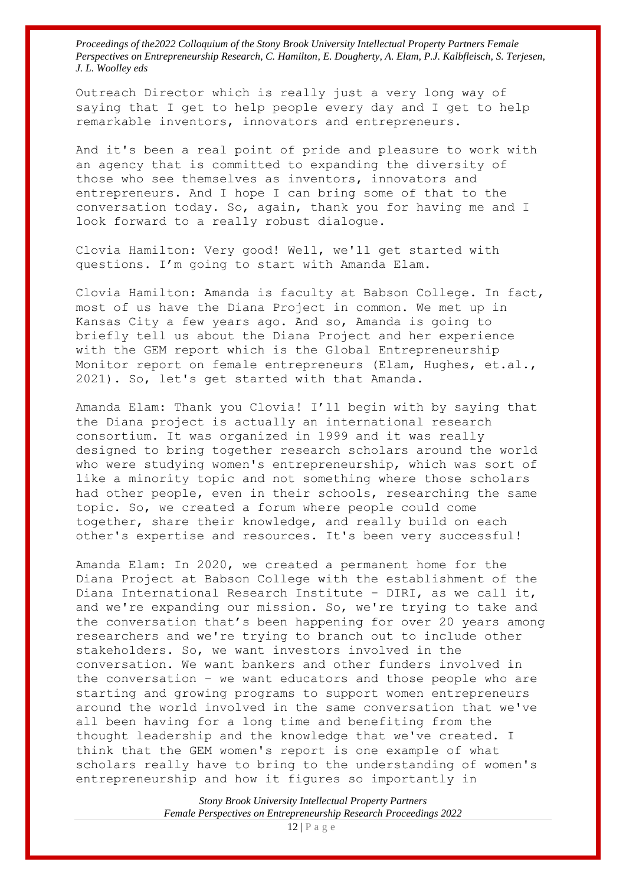Outreach Director which is really just a very long way of saying that I get to help people every day and I get to help remarkable inventors, innovators and entrepreneurs.

And it's been a real point of pride and pleasure to work with an agency that is committed to expanding the diversity of those who see themselves as inventors, innovators and entrepreneurs. And I hope I can bring some of that to the conversation today. So, again, thank you for having me and I look forward to a really robust dialogue.

Clovia Hamilton: Very good! Well, we'll get started with questions. I'm going to start with Amanda Elam.

Clovia Hamilton: Amanda is faculty at Babson College. In fact, most of us have the Diana Project in common. We met up in Kansas City a few years ago. And so, Amanda is going to briefly tell us about the Diana Project and her experience with the GEM report which is the Global Entrepreneurship Monitor report on female entrepreneurs (Elam, Hughes, et.al., 2021). So, let's get started with that Amanda.

Amanda Elam: Thank you Clovia! I'll begin with by saying that the Diana project is actually an international research consortium. It was organized in 1999 and it was really designed to bring together research scholars around the world who were studying women's entrepreneurship, which was sort of like a minority topic and not something where those scholars had other people, even in their schools, researching the same topic. So, we created a forum where people could come together, share their knowledge, and really build on each other's expertise and resources. It's been very successful!

Amanda Elam: In 2020, we created a permanent home for the Diana Project at Babson College with the establishment of the Diana International Research Institute – DIRI, as we call it, and we're expanding our mission. So, we're trying to take and the conversation that's been happening for over 20 years among researchers and we're trying to branch out to include other stakeholders. So, we want investors involved in the conversation. We want bankers and other funders involved in the conversation – we want educators and those people who are starting and growing programs to support women entrepreneurs around the world involved in the same conversation that we've all been having for a long time and benefiting from the thought leadership and the knowledge that we've created. I think that the GEM women's report is one example of what scholars really have to bring to the understanding of women's entrepreneurship and how it figures so importantly in

> *Stony Brook University Intellectual Property Partners Female Perspectives on Entrepreneurship Research Proceedings 2022*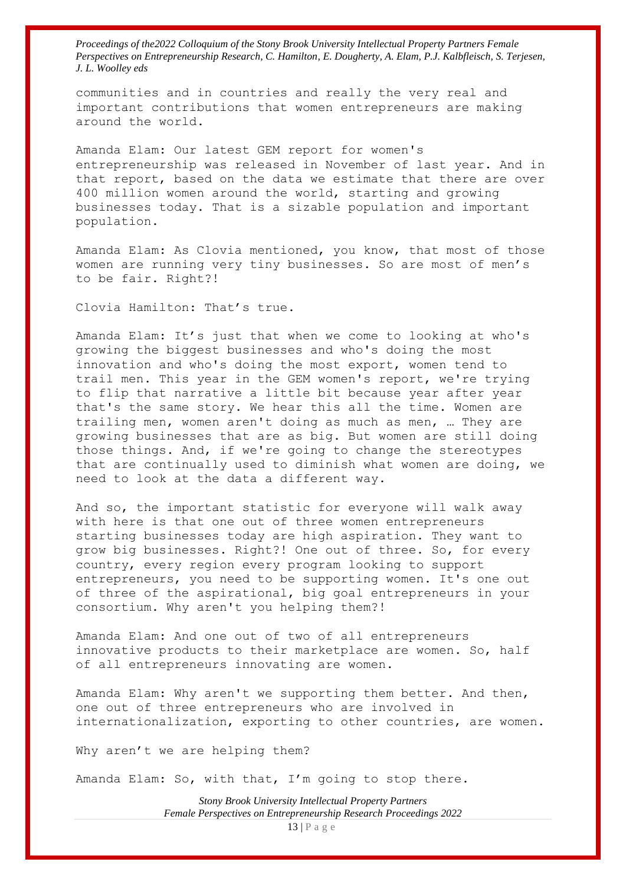communities and in countries and really the very real and important contributions that women entrepreneurs are making around the world.

Amanda Elam: Our latest GEM report for women's entrepreneurship was released in November of last year. And in that report, based on the data we estimate that there are over 400 million women around the world, starting and growing businesses today. That is a sizable population and important population.

Amanda Elam: As Clovia mentioned, you know, that most of those women are running very tiny businesses. So are most of men's to be fair. Right?!

Clovia Hamilton: That's true.

Amanda Elam: It's just that when we come to looking at who's growing the biggest businesses and who's doing the most innovation and who's doing the most export, women tend to trail men. This year in the GEM women's report, we're trying to flip that narrative a little bit because year after year that's the same story. We hear this all the time. Women are trailing men, women aren't doing as much as men, … They are growing businesses that are as big. But women are still doing those things. And, if we're going to change the stereotypes that are continually used to diminish what women are doing, we need to look at the data a different way.

And so, the important statistic for everyone will walk away with here is that one out of three women entrepreneurs starting businesses today are high aspiration. They want to grow big businesses. Right?! One out of three. So, for every country, every region every program looking to support entrepreneurs, you need to be supporting women. It's one out of three of the aspirational, big goal entrepreneurs in your consortium. Why aren't you helping them?!

Amanda Elam: And one out of two of all entrepreneurs innovative products to their marketplace are women. So, half of all entrepreneurs innovating are women.

Amanda Elam: Why aren't we supporting them better. And then, one out of three entrepreneurs who are involved in internationalization, exporting to other countries, are women.

Why aren't we are helping them?

Amanda Elam: So, with that, I'm going to stop there.

*Stony Brook University Intellectual Property Partners Female Perspectives on Entrepreneurship Research Proceedings 2022*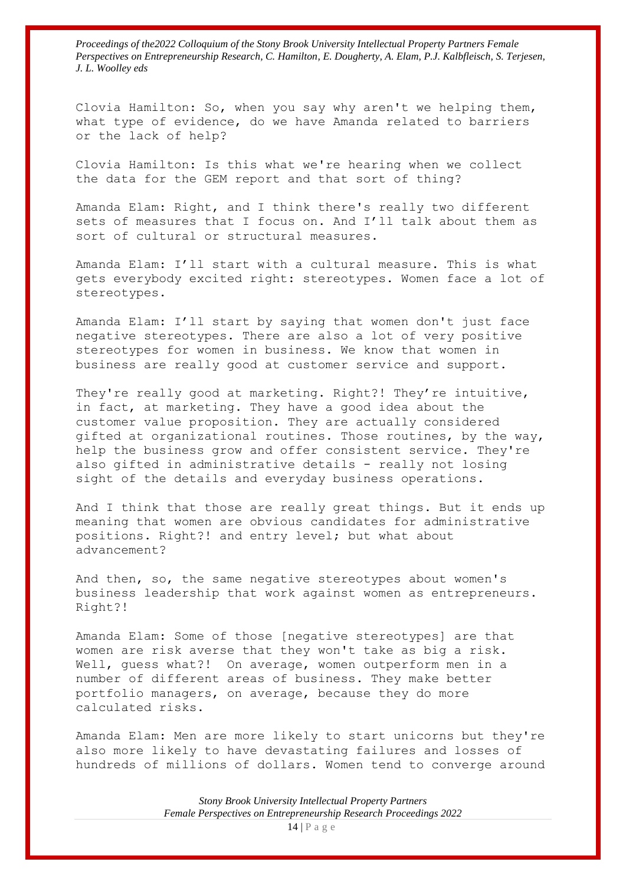Clovia Hamilton: So, when you say why aren't we helping them, what type of evidence, do we have Amanda related to barriers or the lack of help?

Clovia Hamilton: Is this what we're hearing when we collect the data for the GEM report and that sort of thing?

Amanda Elam: Right, and I think there's really two different sets of measures that I focus on. And I'll talk about them as sort of cultural or structural measures.

Amanda Elam: I'll start with a cultural measure. This is what gets everybody excited right: stereotypes. Women face a lot of stereotypes.

Amanda Elam: I'll start by saying that women don't just face negative stereotypes. There are also a lot of very positive stereotypes for women in business. We know that women in business are really good at customer service and support.

They're really good at marketing. Right?! They're intuitive, in fact, at marketing. They have a good idea about the customer value proposition. They are actually considered gifted at organizational routines. Those routines, by the way, help the business grow and offer consistent service. They're also gifted in administrative details - really not losing sight of the details and everyday business operations.

And I think that those are really great things. But it ends up meaning that women are obvious candidates for administrative positions. Right?! and entry level; but what about advancement?

And then, so, the same negative stereotypes about women's business leadership that work against women as entrepreneurs. Right?!

Amanda Elam: Some of those [negative stereotypes] are that women are risk averse that they won't take as big a risk. Well, quess what?! On average, women outperform men in a number of different areas of business. They make better portfolio managers, on average, because they do more calculated risks.

Amanda Elam: Men are more likely to start unicorns but they're also more likely to have devastating failures and losses of hundreds of millions of dollars. Women tend to converge around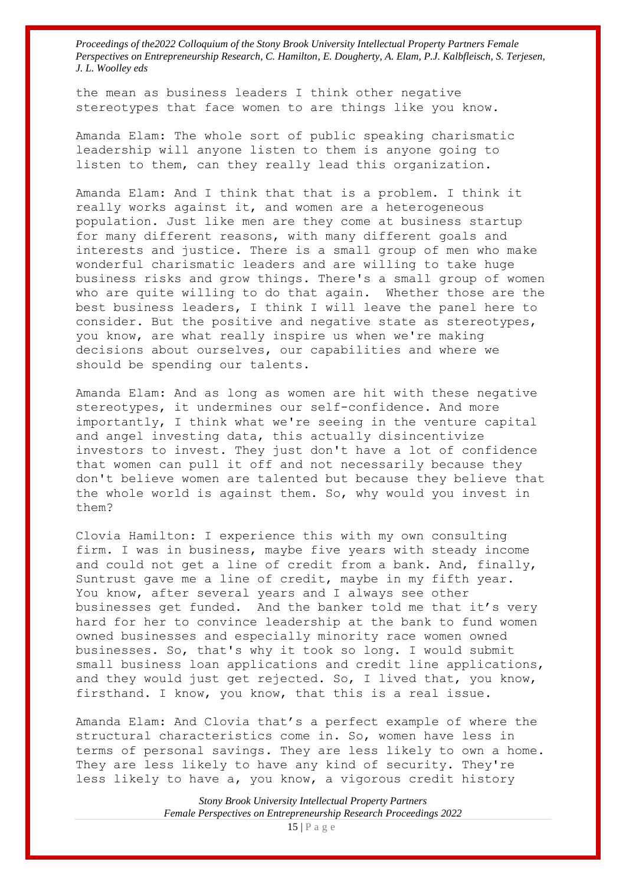the mean as business leaders I think other negative stereotypes that face women to are things like you know.

Amanda Elam: The whole sort of public speaking charismatic leadership will anyone listen to them is anyone going to listen to them, can they really lead this organization.

Amanda Elam: And I think that that is a problem. I think it really works against it, and women are a heterogeneous population. Just like men are they come at business startup for many different reasons, with many different goals and interests and justice. There is a small group of men who make wonderful charismatic leaders and are willing to take huge business risks and grow things. There's a small group of women who are quite willing to do that again. Whether those are the best business leaders, I think I will leave the panel here to consider. But the positive and negative state as stereotypes, you know, are what really inspire us when we're making decisions about ourselves, our capabilities and where we should be spending our talents.

Amanda Elam: And as long as women are hit with these negative stereotypes, it undermines our self-confidence. And more importantly, I think what we're seeing in the venture capital and angel investing data, this actually disincentivize investors to invest. They just don't have a lot of confidence that women can pull it off and not necessarily because they don't believe women are talented but because they believe that the whole world is against them. So, why would you invest in them?

Clovia Hamilton: I experience this with my own consulting firm. I was in business, maybe five years with steady income and could not get a line of credit from a bank. And, finally, Suntrust gave me a line of credit, maybe in my fifth year. You know, after several years and I always see other businesses get funded. And the banker told me that it's very hard for her to convince leadership at the bank to fund women owned businesses and especially minority race women owned businesses. So, that's why it took so long. I would submit small business loan applications and credit line applications, and they would just get rejected. So, I lived that, you know, firsthand. I know, you know, that this is a real issue.

Amanda Elam: And Clovia that's a perfect example of where the structural characteristics come in. So, women have less in terms of personal savings. They are less likely to own a home. They are less likely to have any kind of security. They're less likely to have a, you know, a vigorous credit history

> *Stony Brook University Intellectual Property Partners Female Perspectives on Entrepreneurship Research Proceedings 2022* 15 | P a g e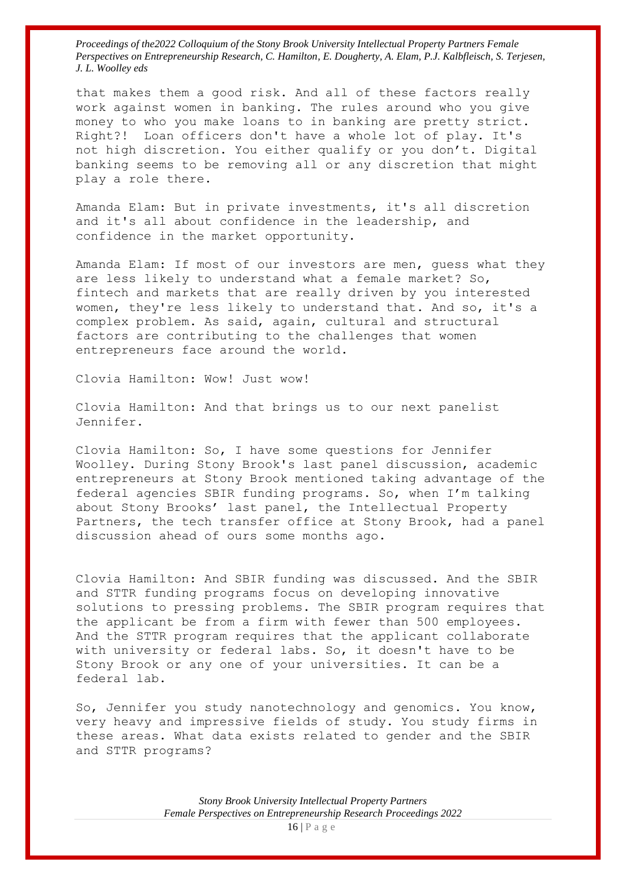that makes them a good risk. And all of these factors really work against women in banking. The rules around who you give money to who you make loans to in banking are pretty strict. Right?! Loan officers don't have a whole lot of play. It's not high discretion. You either qualify or you don't. Digital banking seems to be removing all or any discretion that might play a role there.

Amanda Elam: But in private investments, it's all discretion and it's all about confidence in the leadership, and confidence in the market opportunity.

Amanda Elam: If most of our investors are men, guess what they are less likely to understand what a female market? So, fintech and markets that are really driven by you interested women, they're less likely to understand that. And so, it's a complex problem. As said, again, cultural and structural factors are contributing to the challenges that women entrepreneurs face around the world.

Clovia Hamilton: Wow! Just wow!

Clovia Hamilton: And that brings us to our next panelist Jennifer.

Clovia Hamilton: So, I have some questions for Jennifer Woolley. During Stony Brook's last panel discussion, academic entrepreneurs at Stony Brook mentioned taking advantage of the federal agencies SBIR funding programs. So, when I'm talking about Stony Brooks' last panel, the Intellectual Property Partners, the tech transfer office at Stony Brook, had a panel discussion ahead of ours some months ago.

Clovia Hamilton: And SBIR funding was discussed. And the SBIR and STTR funding programs focus on developing innovative solutions to pressing problems. The SBIR program requires that the applicant be from a firm with fewer than 500 employees. And the STTR program requires that the applicant collaborate with university or federal labs. So, it doesn't have to be Stony Brook or any one of your universities. It can be a federal lab.

So, Jennifer you study nanotechnology and genomics. You know, very heavy and impressive fields of study. You study firms in these areas. What data exists related to gender and the SBIR and STTR programs?

> *Stony Brook University Intellectual Property Partners Female Perspectives on Entrepreneurship Research Proceedings 2022*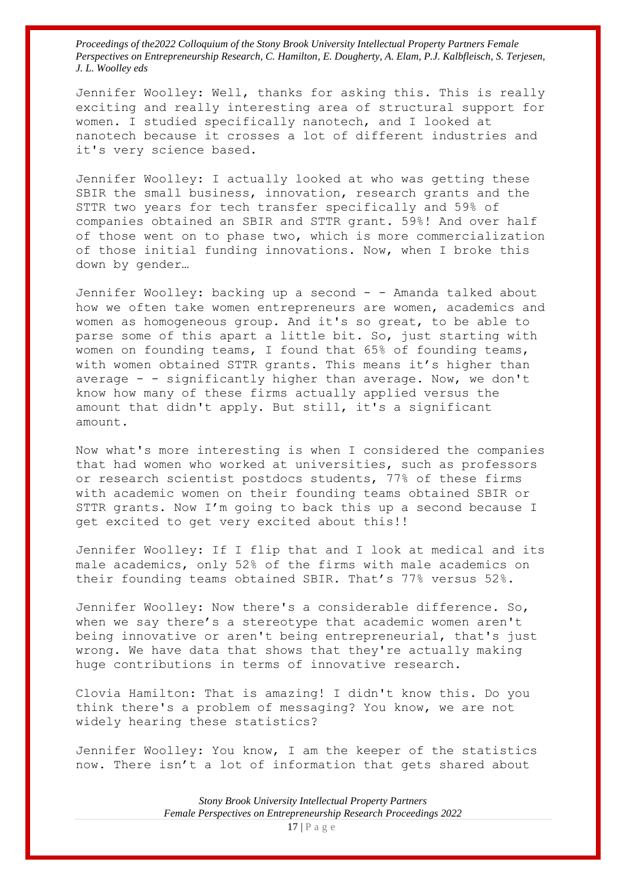Jennifer Woolley: Well, thanks for asking this. This is really exciting and really interesting area of structural support for women. I studied specifically nanotech, and I looked at nanotech because it crosses a lot of different industries and it's very science based.

Jennifer Woolley: I actually looked at who was getting these SBIR the small business, innovation, research grants and the STTR two years for tech transfer specifically and 59% of companies obtained an SBIR and STTR grant. 59%! And over half of those went on to phase two, which is more commercialization of those initial funding innovations. Now, when I broke this down by gender…

Jennifer Woolley: backing up a second - - Amanda talked about how we often take women entrepreneurs are women, academics and women as homogeneous group. And it's so great, to be able to parse some of this apart a little bit. So, just starting with women on founding teams, I found that 65% of founding teams, with women obtained STTR grants. This means it's higher than average  $-$  - significantly higher than average. Now, we don't know how many of these firms actually applied versus the amount that didn't apply. But still, it's a significant amount.

Now what's more interesting is when I considered the companies that had women who worked at universities, such as professors or research scientist postdocs students, 77% of these firms with academic women on their founding teams obtained SBIR or STTR grants. Now I'm going to back this up a second because I get excited to get very excited about this!!

Jennifer Woolley: If I flip that and I look at medical and its male academics, only 52% of the firms with male academics on their founding teams obtained SBIR. That's 77% versus 52%.

Jennifer Woolley: Now there's a considerable difference. So, when we say there's a stereotype that academic women aren't being innovative or aren't being entrepreneurial, that's just wrong. We have data that shows that they're actually making huge contributions in terms of innovative research.

Clovia Hamilton: That is amazing! I didn't know this. Do you think there's a problem of messaging? You know, we are not widely hearing these statistics?

Jennifer Woolley: You know, I am the keeper of the statistics now. There isn't a lot of information that gets shared about

> *Stony Brook University Intellectual Property Partners Female Perspectives on Entrepreneurship Research Proceedings 2022*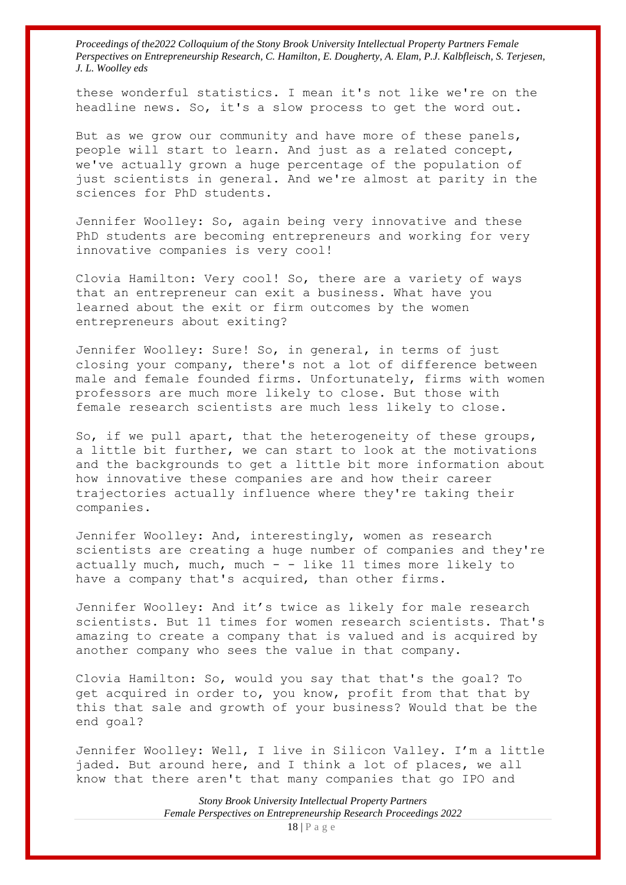these wonderful statistics. I mean it's not like we're on the headline news. So, it's a slow process to get the word out.

But as we grow our community and have more of these panels, people will start to learn. And just as a related concept, we've actually grown a huge percentage of the population of just scientists in general. And we're almost at parity in the sciences for PhD students.

Jennifer Woolley: So, again being very innovative and these PhD students are becoming entrepreneurs and working for very innovative companies is very cool!

Clovia Hamilton: Very cool! So, there are a variety of ways that an entrepreneur can exit a business. What have you learned about the exit or firm outcomes by the women entrepreneurs about exiting?

Jennifer Woolley: Sure! So, in general, in terms of just closing your company, there's not a lot of difference between male and female founded firms. Unfortunately, firms with women professors are much more likely to close. But those with female research scientists are much less likely to close.

So, if we pull apart, that the heterogeneity of these groups, a little bit further, we can start to look at the motivations and the backgrounds to get a little bit more information about how innovative these companies are and how their career trajectories actually influence where they're taking their companies.

Jennifer Woolley: And, interestingly, women as research scientists are creating a huge number of companies and they're actually much, much, much  $-$  - like 11 times more likely to have a company that's acquired, than other firms.

Jennifer Woolley: And it's twice as likely for male research scientists. But 11 times for women research scientists. That's amazing to create a company that is valued and is acquired by another company who sees the value in that company.

Clovia Hamilton: So, would you say that that's the goal? To get acquired in order to, you know, profit from that that by this that sale and growth of your business? Would that be the end goal?

Jennifer Woolley: Well, I live in Silicon Valley. I'm a little jaded. But around here, and I think a lot of places, we all know that there aren't that many companies that go IPO and

> *Stony Brook University Intellectual Property Partners Female Perspectives on Entrepreneurship Research Proceedings 2022*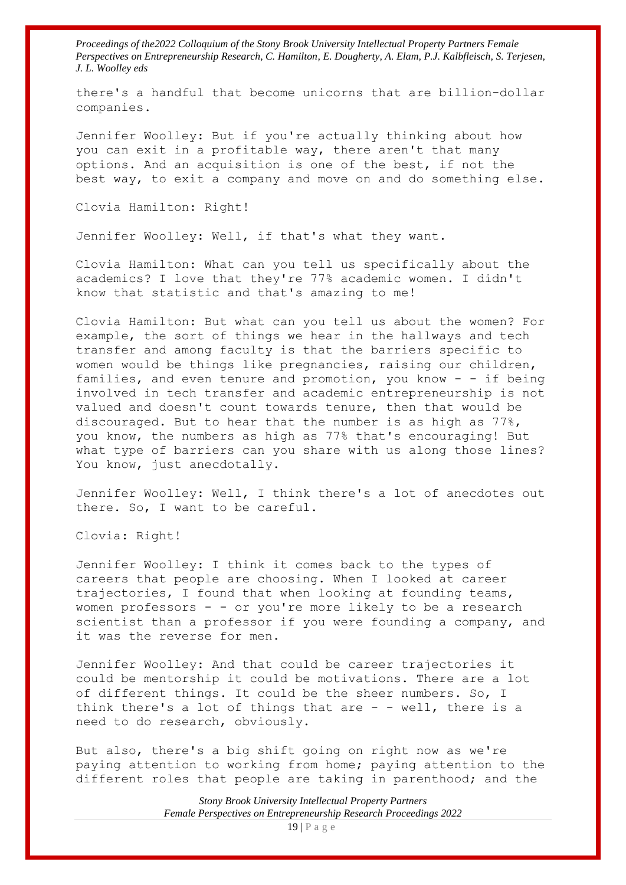there's a handful that become unicorns that are billion-dollar companies.

Jennifer Woolley: But if you're actually thinking about how you can exit in a profitable way, there aren't that many options. And an acquisition is one of the best, if not the best way, to exit a company and move on and do something else.

Clovia Hamilton: Right!

Jennifer Woolley: Well, if that's what they want.

Clovia Hamilton: What can you tell us specifically about the academics? I love that they're 77% academic women. I didn't know that statistic and that's amazing to me!

Clovia Hamilton: But what can you tell us about the women? For example, the sort of things we hear in the hallways and tech transfer and among faculty is that the barriers specific to women would be things like pregnancies, raising our children, families, and even tenure and promotion, you know - - if being involved in tech transfer and academic entrepreneurship is not valued and doesn't count towards tenure, then that would be discouraged. But to hear that the number is as high as 77%, you know, the numbers as high as 77% that's encouraging! But what type of barriers can you share with us along those lines? You know, just anecdotally.

Jennifer Woolley: Well, I think there's a lot of anecdotes out there. So, I want to be careful.

Clovia: Right!

Jennifer Woolley: I think it comes back to the types of careers that people are choosing. When I looked at career trajectories, I found that when looking at founding teams, women professors - - or you're more likely to be a research scientist than a professor if you were founding a company, and it was the reverse for men.

Jennifer Woolley: And that could be career trajectories it could be mentorship it could be motivations. There are a lot of different things. It could be the sheer numbers. So, I think there's a lot of things that are  $-$  - well, there is a need to do research, obviously.

But also, there's a big shift going on right now as we're paying attention to working from home; paying attention to the different roles that people are taking in parenthood; and the

> *Stony Brook University Intellectual Property Partners Female Perspectives on Entrepreneurship Research Proceedings 2022*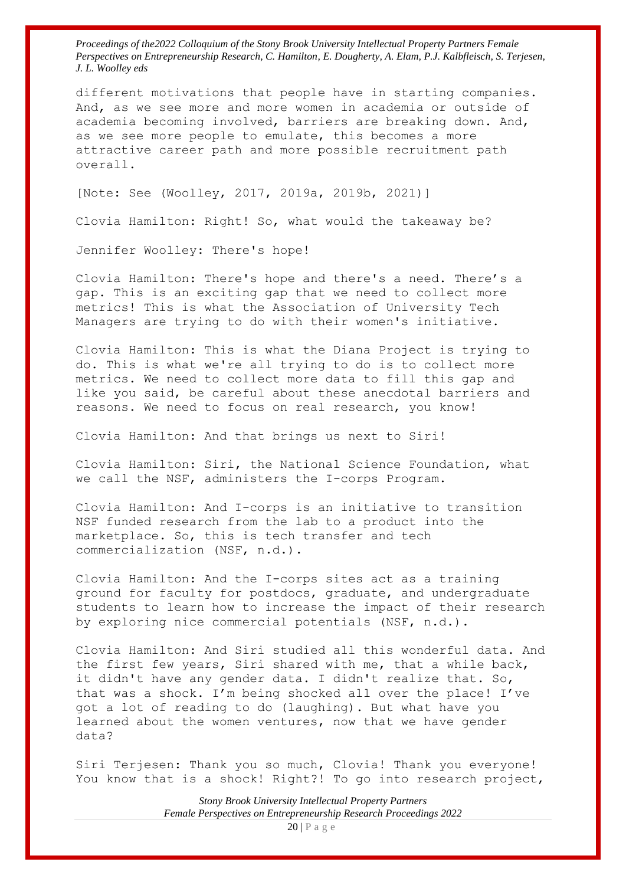different motivations that people have in starting companies. And, as we see more and more women in academia or outside of academia becoming involved, barriers are breaking down. And, as we see more people to emulate, this becomes a more attractive career path and more possible recruitment path overall.

[Note: See (Woolley, 2017, 2019a, 2019b, 2021)]

Clovia Hamilton: Right! So, what would the takeaway be?

Jennifer Woolley: There's hope!

Clovia Hamilton: There's hope and there's a need. There's a gap. This is an exciting gap that we need to collect more metrics! This is what the Association of University Tech Managers are trying to do with their women's initiative.

Clovia Hamilton: This is what the Diana Project is trying to do. This is what we're all trying to do is to collect more metrics. We need to collect more data to fill this gap and like you said, be careful about these anecdotal barriers and reasons. We need to focus on real research, you know!

Clovia Hamilton: And that brings us next to Siri!

Clovia Hamilton: Siri, the National Science Foundation, what we call the NSF, administers the I-corps Program.

Clovia Hamilton: And I-corps is an initiative to transition NSF funded research from the lab to a product into the marketplace. So, this is tech transfer and tech commercialization (NSF, n.d.).

Clovia Hamilton: And the I-corps sites act as a training ground for faculty for postdocs, graduate, and undergraduate students to learn how to increase the impact of their research by exploring nice commercial potentials (NSF, n.d.).

Clovia Hamilton: And Siri studied all this wonderful data. And the first few years, Siri shared with me, that a while back, it didn't have any gender data. I didn't realize that. So, that was a shock. I'm being shocked all over the place! I've got a lot of reading to do (laughing). But what have you learned about the women ventures, now that we have gender data?

Siri Terjesen: Thank you so much, Clovia! Thank you everyone! You know that is a shock! Right?! To go into research project,

> *Stony Brook University Intellectual Property Partners Female Perspectives on Entrepreneurship Research Proceedings 2022*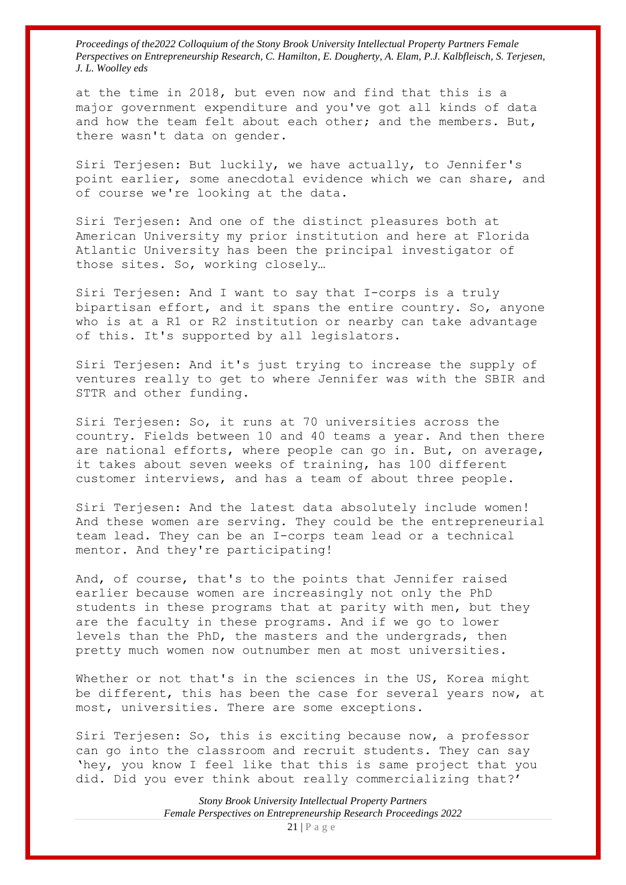at the time in 2018, but even now and find that this is a major government expenditure and you've got all kinds of data and how the team felt about each other; and the members. But, there wasn't data on gender.

Siri Terjesen: But luckily, we have actually, to Jennifer's point earlier, some anecdotal evidence which we can share, and of course we're looking at the data.

Siri Terjesen: And one of the distinct pleasures both at American University my prior institution and here at Florida Atlantic University has been the principal investigator of those sites. So, working closely…

Siri Terjesen: And I want to say that I-corps is a truly bipartisan effort, and it spans the entire country. So, anyone who is at a R1 or R2 institution or nearby can take advantage of this. It's supported by all legislators.

Siri Terjesen: And it's just trying to increase the supply of ventures really to get to where Jennifer was with the SBIR and STTR and other funding.

Siri Terjesen: So, it runs at 70 universities across the country. Fields between 10 and 40 teams a year. And then there are national efforts, where people can go in. But, on average, it takes about seven weeks of training, has 100 different customer interviews, and has a team of about three people.

Siri Terjesen: And the latest data absolutely include women! And these women are serving. They could be the entrepreneurial team lead. They can be an I-corps team lead or a technical mentor. And they're participating!

And, of course, that's to the points that Jennifer raised earlier because women are increasingly not only the PhD students in these programs that at parity with men, but they are the faculty in these programs. And if we go to lower levels than the PhD, the masters and the undergrads, then pretty much women now outnumber men at most universities.

Whether or not that's in the sciences in the US, Korea might be different, this has been the case for several years now, at most, universities. There are some exceptions.

Siri Terjesen: So, this is exciting because now, a professor can go into the classroom and recruit students. They can say 'hey, you know I feel like that this is same project that you did. Did you ever think about really commercializing that?'

> *Stony Brook University Intellectual Property Partners Female Perspectives on Entrepreneurship Research Proceedings 2022* 21 | P a g e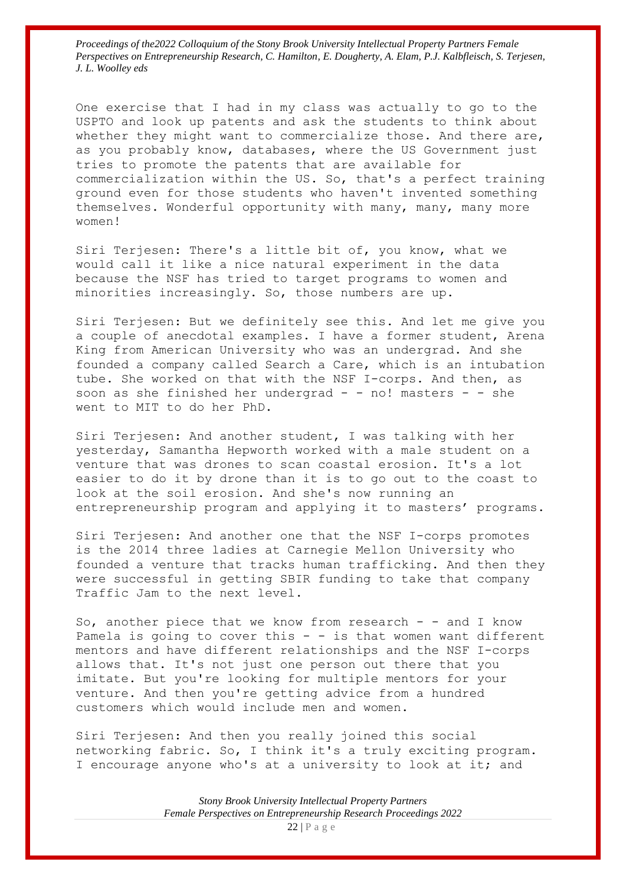One exercise that I had in my class was actually to go to the USPTO and look up patents and ask the students to think about whether they might want to commercialize those. And there are, as you probably know, databases, where the US Government just tries to promote the patents that are available for commercialization within the US. So, that's a perfect training ground even for those students who haven't invented something themselves. Wonderful opportunity with many, many, many more women!

Siri Terjesen: There's a little bit of, you know, what we would call it like a nice natural experiment in the data because the NSF has tried to target programs to women and minorities increasingly. So, those numbers are up.

Siri Terjesen: But we definitely see this. And let me give you a couple of anecdotal examples. I have a former student, Arena King from American University who was an undergrad. And she founded a company called Search a Care, which is an intubation tube. She worked on that with the NSF I-corps. And then, as soon as she finished her undergrad  $-$  - no! masters  $-$  - she went to MIT to do her PhD.

Siri Terjesen: And another student, I was talking with her yesterday, Samantha Hepworth worked with a male student on a venture that was drones to scan coastal erosion. It's a lot easier to do it by drone than it is to go out to the coast to look at the soil erosion. And she's now running an entrepreneurship program and applying it to masters' programs.

Siri Terjesen: And another one that the NSF I-corps promotes is the 2014 three ladies at Carnegie Mellon University who founded a venture that tracks human trafficking. And then they were successful in getting SBIR funding to take that company Traffic Jam to the next level.

So, another piece that we know from research - - and I know Pamela is going to cover this  $-$  - is that women want different mentors and have different relationships and the NSF I-corps allows that. It's not just one person out there that you imitate. But you're looking for multiple mentors for your venture. And then you're getting advice from a hundred customers which would include men and women.

Siri Terjesen: And then you really joined this social networking fabric. So, I think it's a truly exciting program. I encourage anyone who's at a university to look at it; and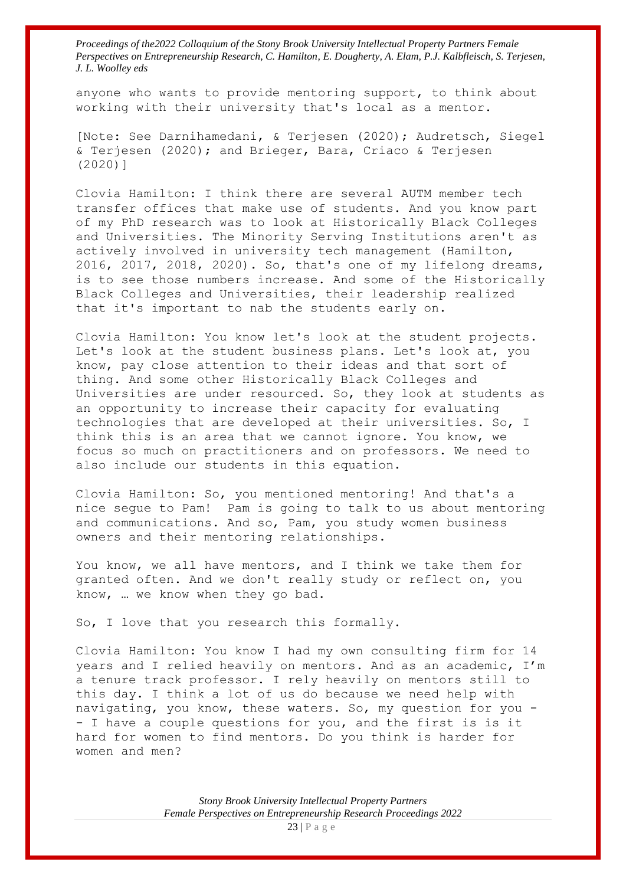anyone who wants to provide mentoring support, to think about working with their university that's local as a mentor.

[Note: See Darnihamedani, & Terjesen (2020); Audretsch, Siegel & Terjesen (2020); and Brieger, Bara, Criaco & Terjesen (2020)]

Clovia Hamilton: I think there are several AUTM member tech transfer offices that make use of students. And you know part of my PhD research was to look at Historically Black Colleges and Universities. The Minority Serving Institutions aren't as actively involved in university tech management (Hamilton, 2016, 2017, 2018, 2020). So, that's one of my lifelong dreams, is to see those numbers increase. And some of the Historically Black Colleges and Universities, their leadership realized that it's important to nab the students early on.

Clovia Hamilton: You know let's look at the student projects. Let's look at the student business plans. Let's look at, you know, pay close attention to their ideas and that sort of thing. And some other Historically Black Colleges and Universities are under resourced. So, they look at students as an opportunity to increase their capacity for evaluating technologies that are developed at their universities. So, I think this is an area that we cannot ignore. You know, we focus so much on practitioners and on professors. We need to also include our students in this equation.

Clovia Hamilton: So, you mentioned mentoring! And that's a nice segue to Pam! Pam is going to talk to us about mentoring and communications. And so, Pam, you study women business owners and their mentoring relationships.

You know, we all have mentors, and I think we take them for granted often. And we don't really study or reflect on, you know, … we know when they go bad.

So, I love that you research this formally.

Clovia Hamilton: You know I had my own consulting firm for 14 years and I relied heavily on mentors. And as an academic, I'm a tenure track professor. I rely heavily on mentors still to this day. I think a lot of us do because we need help with navigating, you know, these waters. So, my question for you - - I have a couple questions for you, and the first is is it hard for women to find mentors. Do you think is harder for women and men?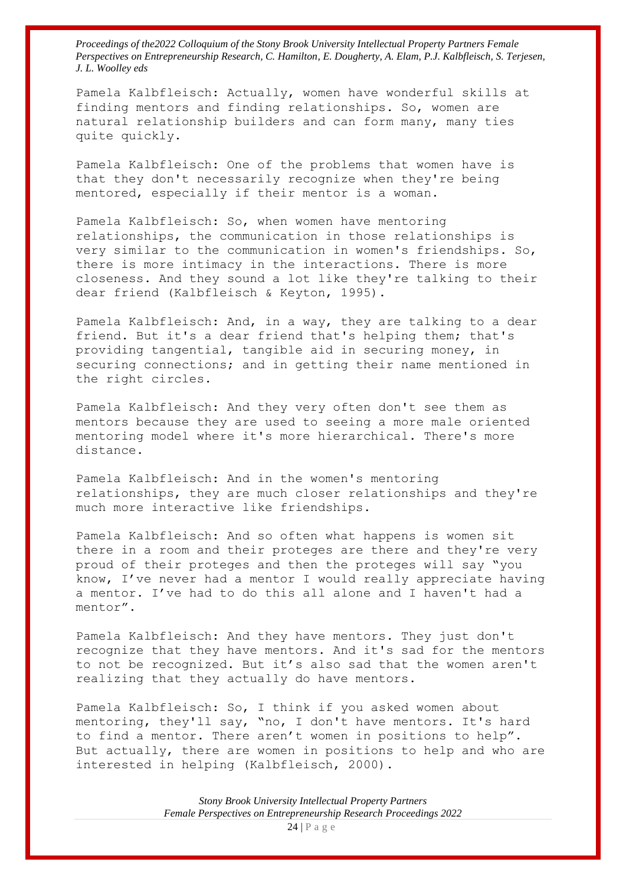Pamela Kalbfleisch: Actually, women have wonderful skills at finding mentors and finding relationships. So, women are natural relationship builders and can form many, many ties quite quickly.

Pamela Kalbfleisch: One of the problems that women have is that they don't necessarily recognize when they're being mentored, especially if their mentor is a woman.

Pamela Kalbfleisch: So, when women have mentoring relationships, the communication in those relationships is very similar to the communication in women's friendships. So, there is more intimacy in the interactions. There is more closeness. And they sound a lot like they're talking to their dear friend (Kalbfleisch & Keyton, 1995).

Pamela Kalbfleisch: And, in a way, they are talking to a dear friend. But it's a dear friend that's helping them; that's providing tangential, tangible aid in securing money, in securing connections; and in getting their name mentioned in the right circles.

Pamela Kalbfleisch: And they very often don't see them as mentors because they are used to seeing a more male oriented mentoring model where it's more hierarchical. There's more distance.

Pamela Kalbfleisch: And in the women's mentoring relationships, they are much closer relationships and they're much more interactive like friendships.

Pamela Kalbfleisch: And so often what happens is women sit there in a room and their proteges are there and they're very proud of their proteges and then the proteges will say "you know, I've never had a mentor I would really appreciate having a mentor. I've had to do this all alone and I haven't had a mentor".

Pamela Kalbfleisch: And they have mentors. They just don't recognize that they have mentors. And it's sad for the mentors to not be recognized. But it's also sad that the women aren't realizing that they actually do have mentors.

Pamela Kalbfleisch: So, I think if you asked women about mentoring, they'll say, "no, I don't have mentors. It's hard to find a mentor. There aren't women in positions to help". But actually, there are women in positions to help and who are interested in helping (Kalbfleisch, 2000).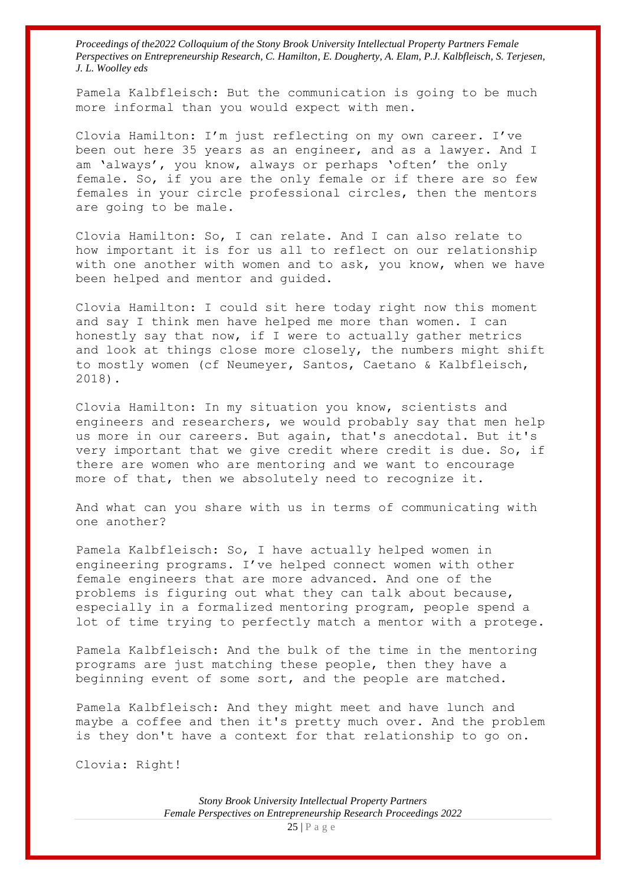Pamela Kalbfleisch: But the communication is going to be much more informal than you would expect with men.

Clovia Hamilton: I'm just reflecting on my own career. I've been out here 35 years as an engineer, and as a lawyer. And I am 'always', you know, always or perhaps 'often' the only female. So, if you are the only female or if there are so few females in your circle professional circles, then the mentors are going to be male.

Clovia Hamilton: So, I can relate. And I can also relate to how important it is for us all to reflect on our relationship with one another with women and to ask, you know, when we have been helped and mentor and guided.

Clovia Hamilton: I could sit here today right now this moment and say I think men have helped me more than women. I can honestly say that now, if I were to actually gather metrics and look at things close more closely, the numbers might shift to mostly women (cf Neumeyer, Santos, Caetano & Kalbfleisch, 2018).

Clovia Hamilton: In my situation you know, scientists and engineers and researchers, we would probably say that men help us more in our careers. But again, that's anecdotal. But it's very important that we give credit where credit is due. So, if there are women who are mentoring and we want to encourage more of that, then we absolutely need to recognize it.

And what can you share with us in terms of communicating with one another?

Pamela Kalbfleisch: So, I have actually helped women in engineering programs. I've helped connect women with other female engineers that are more advanced. And one of the problems is figuring out what they can talk about because, especially in a formalized mentoring program, people spend a lot of time trying to perfectly match a mentor with a protege.

Pamela Kalbfleisch: And the bulk of the time in the mentoring programs are just matching these people, then they have a beginning event of some sort, and the people are matched.

Pamela Kalbfleisch: And they might meet and have lunch and maybe a coffee and then it's pretty much over. And the problem is they don't have a context for that relationship to go on.

Clovia: Right!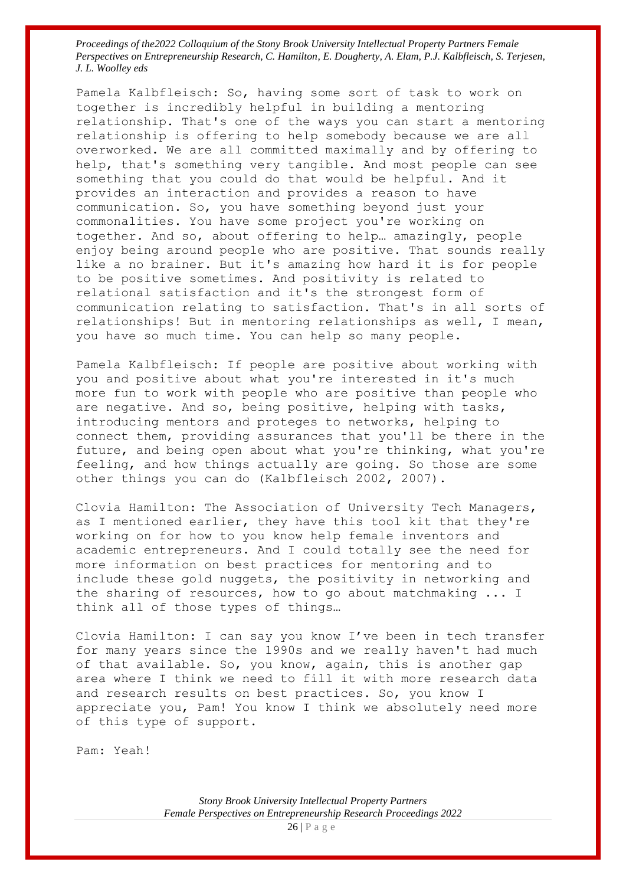Pamela Kalbfleisch: So, having some sort of task to work on together is incredibly helpful in building a mentoring relationship. That's one of the ways you can start a mentoring relationship is offering to help somebody because we are all overworked. We are all committed maximally and by offering to help, that's something very tangible. And most people can see something that you could do that would be helpful. And it provides an interaction and provides a reason to have communication. So, you have something beyond just your commonalities. You have some project you're working on together. And so, about offering to help… amazingly, people enjoy being around people who are positive. That sounds really like a no brainer. But it's amazing how hard it is for people to be positive sometimes. And positivity is related to relational satisfaction and it's the strongest form of communication relating to satisfaction. That's in all sorts of relationships! But in mentoring relationships as well, I mean, you have so much time. You can help so many people.

Pamela Kalbfleisch: If people are positive about working with you and positive about what you're interested in it's much more fun to work with people who are positive than people who are negative. And so, being positive, helping with tasks, introducing mentors and proteges to networks, helping to connect them, providing assurances that you'll be there in the future, and being open about what you're thinking, what you're feeling, and how things actually are going. So those are some other things you can do (Kalbfleisch 2002, 2007).

Clovia Hamilton: The Association of University Tech Managers, as I mentioned earlier, they have this tool kit that they're working on for how to you know help female inventors and academic entrepreneurs. And I could totally see the need for more information on best practices for mentoring and to include these gold nuggets, the positivity in networking and the sharing of resources, how to go about matchmaking ... I think all of those types of things…

Clovia Hamilton: I can say you know I've been in tech transfer for many years since the 1990s and we really haven't had much of that available. So, you know, again, this is another gap area where I think we need to fill it with more research data and research results on best practices. So, you know I appreciate you, Pam! You know I think we absolutely need more of this type of support.

Pam: Yeah!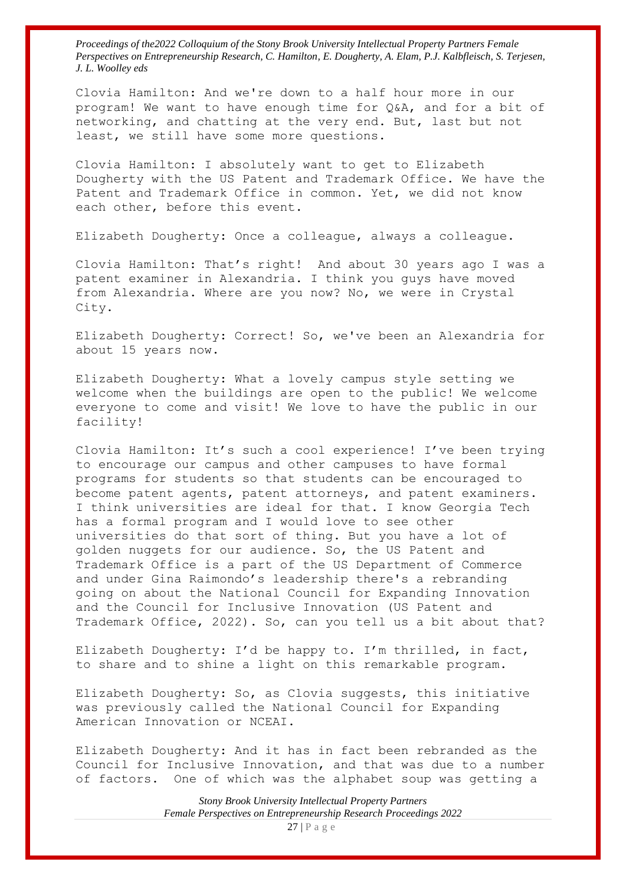Clovia Hamilton: And we're down to a half hour more in our program! We want to have enough time for Q&A, and for a bit of networking, and chatting at the very end. But, last but not least, we still have some more questions.

Clovia Hamilton: I absolutely want to get to Elizabeth Dougherty with the US Patent and Trademark Office. We have the Patent and Trademark Office in common. Yet, we did not know each other, before this event.

Elizabeth Dougherty: Once a colleague, always a colleague.

Clovia Hamilton: That's right! And about 30 years ago I was a patent examiner in Alexandria. I think you guys have moved from Alexandria. Where are you now? No, we were in Crystal City.

Elizabeth Dougherty: Correct! So, we've been an Alexandria for about 15 years now.

Elizabeth Dougherty: What a lovely campus style setting we welcome when the buildings are open to the public! We welcome everyone to come and visit! We love to have the public in our facility!

Clovia Hamilton: It's such a cool experience! I've been trying to encourage our campus and other campuses to have formal programs for students so that students can be encouraged to become patent agents, patent attorneys, and patent examiners. I think universities are ideal for that. I know Georgia Tech has a formal program and I would love to see other universities do that sort of thing. But you have a lot of golden nuggets for our audience. So, the US Patent and Trademark Office is a part of the US Department of Commerce and under Gina Raimondo's leadership there's a rebranding going on about the National Council for Expanding Innovation and the Council for Inclusive Innovation (US Patent and Trademark Office, 2022). So, can you tell us a bit about that?

Elizabeth Dougherty: I'd be happy to. I'm thrilled, in fact, to share and to shine a light on this remarkable program.

Elizabeth Dougherty: So, as Clovia suggests, this initiative was previously called the National Council for Expanding American Innovation or NCEAI.

Elizabeth Dougherty: And it has in fact been rebranded as the Council for Inclusive Innovation, and that was due to a number of factors. One of which was the alphabet soup was getting a

> *Stony Brook University Intellectual Property Partners Female Perspectives on Entrepreneurship Research Proceedings 2022*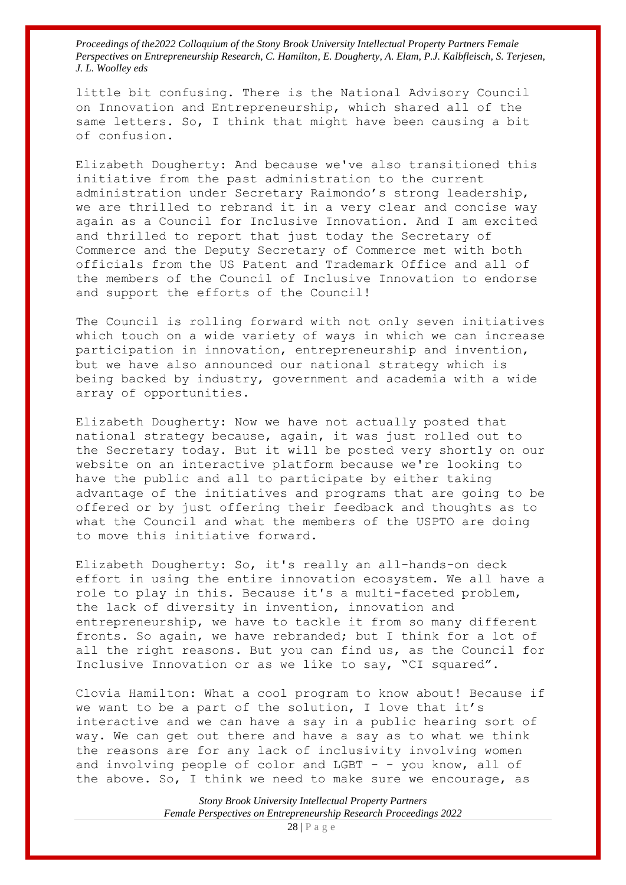little bit confusing. There is the National Advisory Council on Innovation and Entrepreneurship, which shared all of the same letters. So, I think that might have been causing a bit of confusion.

Elizabeth Dougherty: And because we've also transitioned this initiative from the past administration to the current administration under Secretary Raimondo's strong leadership, we are thrilled to rebrand it in a very clear and concise way again as a Council for Inclusive Innovation. And I am excited and thrilled to report that just today the Secretary of Commerce and the Deputy Secretary of Commerce met with both officials from the US Patent and Trademark Office and all of the members of the Council of Inclusive Innovation to endorse and support the efforts of the Council!

The Council is rolling forward with not only seven initiatives which touch on a wide variety of ways in which we can increase participation in innovation, entrepreneurship and invention, but we have also announced our national strategy which is being backed by industry, government and academia with a wide array of opportunities.

Elizabeth Dougherty: Now we have not actually posted that national strategy because, again, it was just rolled out to the Secretary today. But it will be posted very shortly on our website on an interactive platform because we're looking to have the public and all to participate by either taking advantage of the initiatives and programs that are going to be offered or by just offering their feedback and thoughts as to what the Council and what the members of the USPTO are doing to move this initiative forward.

Elizabeth Dougherty: So, it's really an all-hands-on deck effort in using the entire innovation ecosystem. We all have a role to play in this. Because it's a multi-faceted problem, the lack of diversity in invention, innovation and entrepreneurship, we have to tackle it from so many different fronts. So again, we have rebranded; but I think for a lot of all the right reasons. But you can find us, as the Council for Inclusive Innovation or as we like to say, "CI squared".

Clovia Hamilton: What a cool program to know about! Because if we want to be a part of the solution, I love that it's interactive and we can have a say in a public hearing sort of way. We can get out there and have a say as to what we think the reasons are for any lack of inclusivity involving women and involving people of color and LGBT  $-$  - you know, all of the above. So, I think we need to make sure we encourage, as

> *Stony Brook University Intellectual Property Partners Female Perspectives on Entrepreneurship Research Proceedings 2022* 28 | P a g e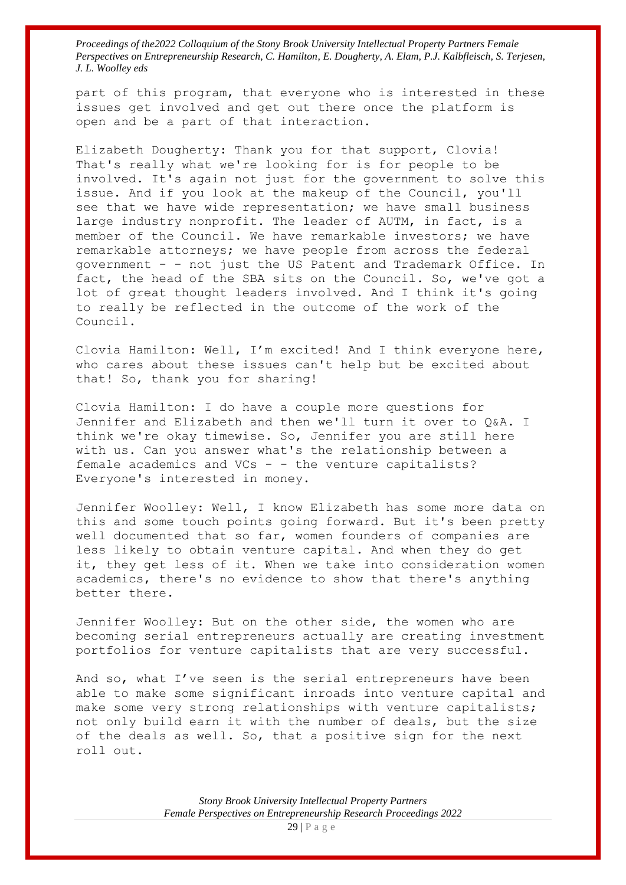part of this program, that everyone who is interested in these issues get involved and get out there once the platform is open and be a part of that interaction.

Elizabeth Dougherty: Thank you for that support, Clovia! That's really what we're looking for is for people to be involved. It's again not just for the government to solve this issue. And if you look at the makeup of the Council, you'll see that we have wide representation; we have small business large industry nonprofit. The leader of AUTM, in fact, is a member of the Council. We have remarkable investors; we have remarkable attorneys; we have people from across the federal government - - not just the US Patent and Trademark Office. In fact, the head of the SBA sits on the Council. So, we've got a lot of great thought leaders involved. And I think it's going to really be reflected in the outcome of the work of the Council.

Clovia Hamilton: Well, I'm excited! And I think everyone here, who cares about these issues can't help but be excited about that! So, thank you for sharing!

Clovia Hamilton: I do have a couple more questions for Jennifer and Elizabeth and then we'll turn it over to Q&A. I think we're okay timewise. So, Jennifer you are still here with us. Can you answer what's the relationship between a female academics and VCs - - the venture capitalists? Everyone's interested in money.

Jennifer Woolley: Well, I know Elizabeth has some more data on this and some touch points going forward. But it's been pretty well documented that so far, women founders of companies are less likely to obtain venture capital. And when they do get it, they get less of it. When we take into consideration women academics, there's no evidence to show that there's anything better there.

Jennifer Woolley: But on the other side, the women who are becoming serial entrepreneurs actually are creating investment portfolios for venture capitalists that are very successful.

And so, what I've seen is the serial entrepreneurs have been able to make some significant inroads into venture capital and make some very strong relationships with venture capitalists; not only build earn it with the number of deals, but the size of the deals as well. So, that a positive sign for the next roll out.

> *Stony Brook University Intellectual Property Partners Female Perspectives on Entrepreneurship Research Proceedings 2022*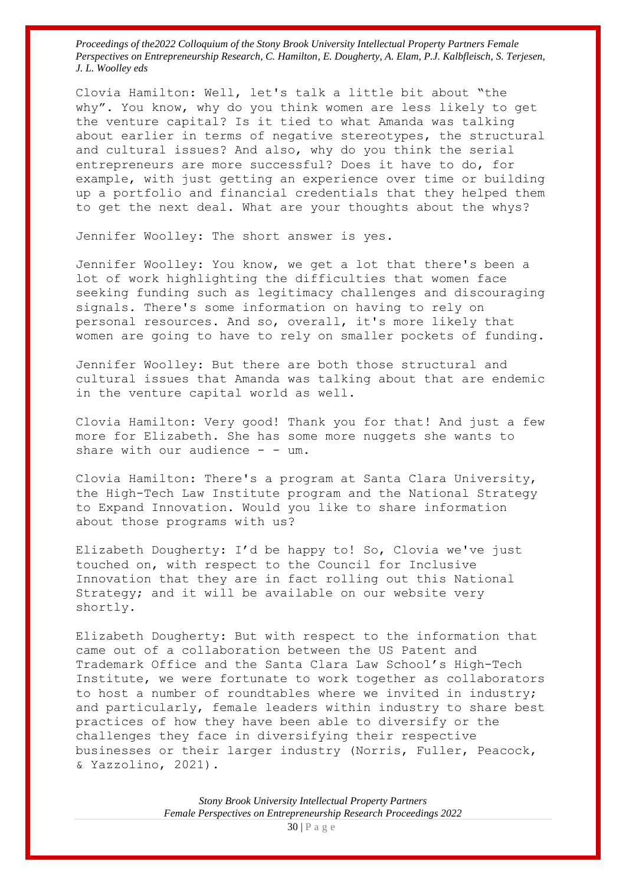Clovia Hamilton: Well, let's talk a little bit about "the why". You know, why do you think women are less likely to get the venture capital? Is it tied to what Amanda was talking about earlier in terms of negative stereotypes, the structural and cultural issues? And also, why do you think the serial entrepreneurs are more successful? Does it have to do, for example, with just getting an experience over time or building up a portfolio and financial credentials that they helped them to get the next deal. What are your thoughts about the whys?

Jennifer Woolley: The short answer is yes.

Jennifer Woolley: You know, we get a lot that there's been a lot of work highlighting the difficulties that women face seeking funding such as legitimacy challenges and discouraging signals. There's some information on having to rely on personal resources. And so, overall, it's more likely that women are going to have to rely on smaller pockets of funding.

Jennifer Woolley: But there are both those structural and cultural issues that Amanda was talking about that are endemic in the venture capital world as well.

Clovia Hamilton: Very good! Thank you for that! And just a few more for Elizabeth. She has some more nuggets she wants to share with our audience  $-$  - um.

Clovia Hamilton: There's a program at Santa Clara University, the High-Tech Law Institute program and the National Strategy to Expand Innovation. Would you like to share information about those programs with us?

Elizabeth Dougherty: I'd be happy to! So, Clovia we've just touched on, with respect to the Council for Inclusive Innovation that they are in fact rolling out this National Strategy; and it will be available on our website very shortly.

Elizabeth Dougherty: But with respect to the information that came out of a collaboration between the US Patent and Trademark Office and the Santa Clara Law School's High-Tech Institute, we were fortunate to work together as collaborators to host a number of roundtables where we invited in industry; and particularly, female leaders within industry to share best practices of how they have been able to diversify or the challenges they face in diversifying their respective businesses or their larger industry (Norris, Fuller, Peacock, & Yazzolino, 2021).

> *Stony Brook University Intellectual Property Partners Female Perspectives on Entrepreneurship Research Proceedings 2022* 30 | P a g e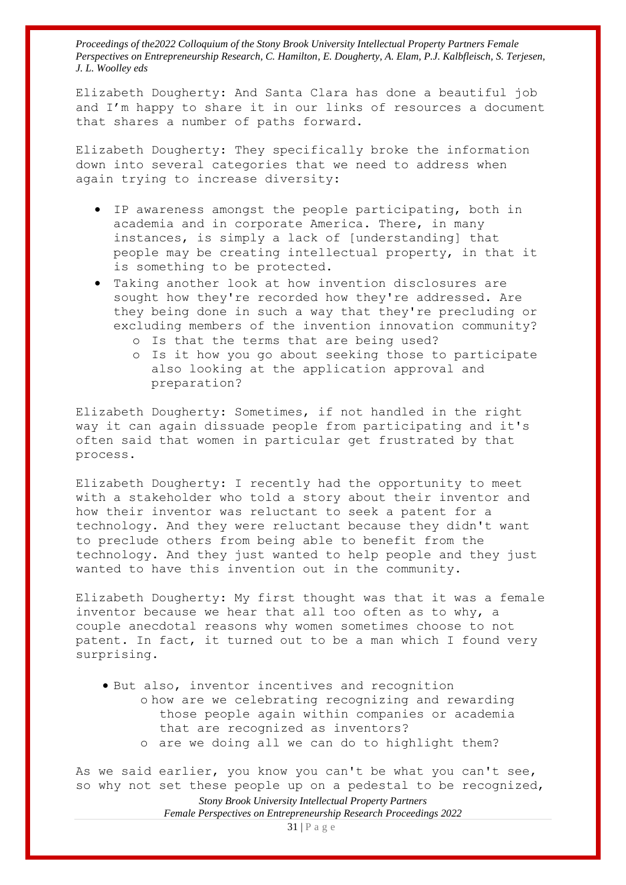Elizabeth Dougherty: And Santa Clara has done a beautiful job and I'm happy to share it in our links of resources a document that shares a number of paths forward.

Elizabeth Dougherty: They specifically broke the information down into several categories that we need to address when again trying to increase diversity:

- IP awareness amongst the people participating, both in academia and in corporate America. There, in many instances, is simply a lack of [understanding] that people may be creating intellectual property, in that it is something to be protected.
- Taking another look at how invention disclosures are sought how they're recorded how they're addressed. Are they being done in such a way that they're precluding or excluding members of the invention innovation community?
	- o Is that the terms that are being used?
	- o Is it how you go about seeking those to participate also looking at the application approval and preparation?

Elizabeth Dougherty: Sometimes, if not handled in the right way it can again dissuade people from participating and it's often said that women in particular get frustrated by that process.

Elizabeth Dougherty: I recently had the opportunity to meet with a stakeholder who told a story about their inventor and how their inventor was reluctant to seek a patent for a technology. And they were reluctant because they didn't want to preclude others from being able to benefit from the technology. And they just wanted to help people and they just wanted to have this invention out in the community.

Elizabeth Dougherty: My first thought was that it was a female inventor because we hear that all too often as to why, a couple anecdotal reasons why women sometimes choose to not patent. In fact, it turned out to be a man which I found very surprising.

• But also, inventor incentives and recognition o how are we celebrating recognizing and rewarding those people again within companies or academia that are recognized as inventors? o are we doing all we can do to highlight them?

*Stony Brook University Intellectual Property Partners*  As we said earlier, you know you can't be what you can't see, so why not set these people up on a pedestal to be recognized,

*Female Perspectives on Entrepreneurship Research Proceedings 2022*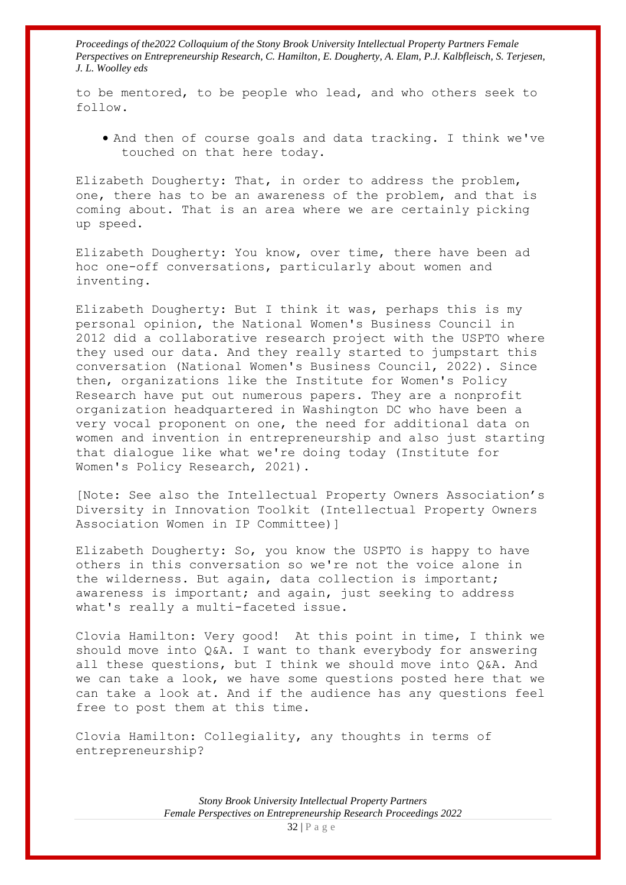to be mentored, to be people who lead, and who others seek to follow.

• And then of course goals and data tracking. I think we've touched on that here today.

Elizabeth Dougherty: That, in order to address the problem, one, there has to be an awareness of the problem, and that is coming about. That is an area where we are certainly picking up speed.

Elizabeth Dougherty: You know, over time, there have been ad hoc one-off conversations, particularly about women and inventing.

Elizabeth Dougherty: But I think it was, perhaps this is my personal opinion, the National Women's Business Council in 2012 did a collaborative research project with the USPTO where they used our data. And they really started to jumpstart this conversation (National Women's Business Council, 2022). Since then, organizations like the Institute for Women's Policy Research have put out numerous papers. They are a nonprofit organization headquartered in Washington DC who have been a very vocal proponent on one, the need for additional data on women and invention in entrepreneurship and also just starting that dialogue like what we're doing today (Institute for Women's Policy Research, 2021).

[Note: See also the Intellectual Property Owners Association's Diversity in Innovation Toolkit (Intellectual Property Owners Association Women in IP Committee)]

Elizabeth Dougherty: So, you know the USPTO is happy to have others in this conversation so we're not the voice alone in the wilderness. But again, data collection is important; awareness is important; and again, just seeking to address what's really a multi-faceted issue.

Clovia Hamilton: Very good! At this point in time, I think we should move into Q&A. I want to thank everybody for answering all these questions, but I think we should move into Q&A. And we can take a look, we have some questions posted here that we can take a look at. And if the audience has any questions feel free to post them at this time.

Clovia Hamilton: Collegiality, any thoughts in terms of entrepreneurship?

> *Stony Brook University Intellectual Property Partners Female Perspectives on Entrepreneurship Research Proceedings 2022*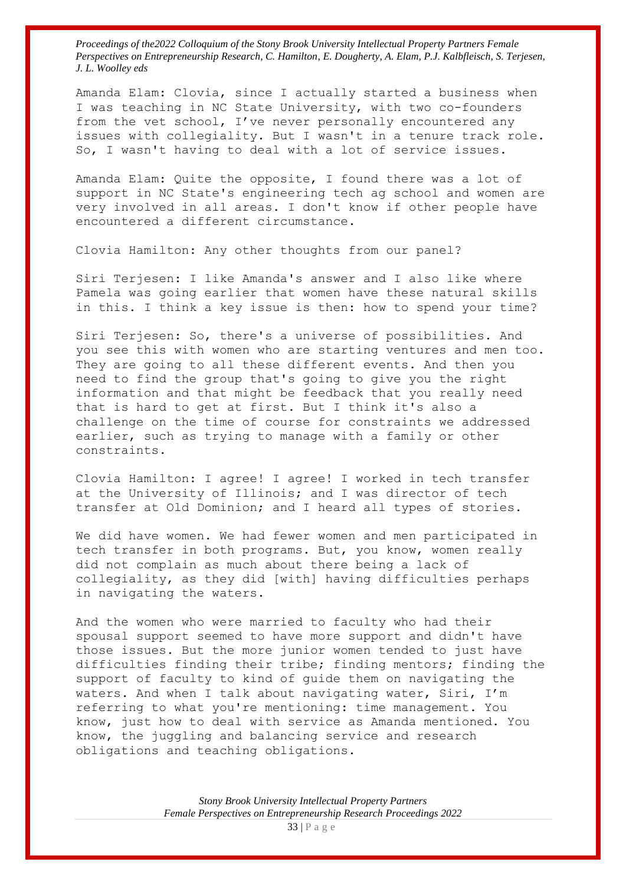Amanda Elam: Clovia, since I actually started a business when I was teaching in NC State University, with two co-founders from the vet school, I've never personally encountered any issues with collegiality. But I wasn't in a tenure track role. So, I wasn't having to deal with a lot of service issues.

Amanda Elam: Quite the opposite, I found there was a lot of support in NC State's engineering tech ag school and women are very involved in all areas. I don't know if other people have encountered a different circumstance.

Clovia Hamilton: Any other thoughts from our panel?

Siri Terjesen: I like Amanda's answer and I also like where Pamela was going earlier that women have these natural skills in this. I think a key issue is then: how to spend your time?

Siri Terjesen: So, there's a universe of possibilities. And you see this with women who are starting ventures and men too. They are going to all these different events. And then you need to find the group that's going to give you the right information and that might be feedback that you really need that is hard to get at first. But I think it's also a challenge on the time of course for constraints we addressed earlier, such as trying to manage with a family or other constraints.

Clovia Hamilton: I agree! I agree! I worked in tech transfer at the University of Illinois; and I was director of tech transfer at Old Dominion; and I heard all types of stories.

We did have women. We had fewer women and men participated in tech transfer in both programs. But, you know, women really did not complain as much about there being a lack of collegiality, as they did [with] having difficulties perhaps in navigating the waters.

And the women who were married to faculty who had their spousal support seemed to have more support and didn't have those issues. But the more junior women tended to just have difficulties finding their tribe; finding mentors; finding the support of faculty to kind of guide them on navigating the waters. And when I talk about navigating water, Siri, I'm referring to what you're mentioning: time management. You know, just how to deal with service as Amanda mentioned. You know, the juggling and balancing service and research obligations and teaching obligations.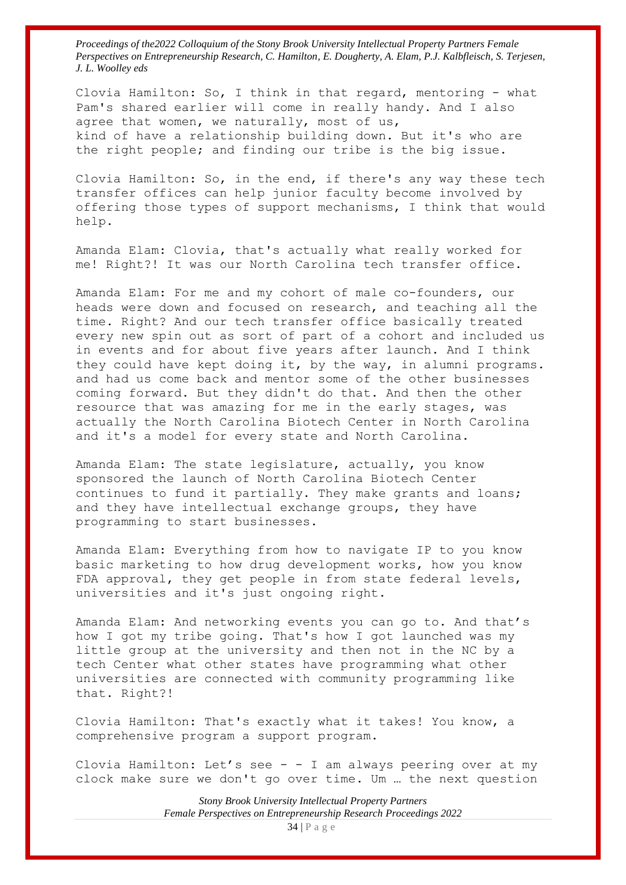Clovia Hamilton: So, I think in that regard, mentoring - what Pam's shared earlier will come in really handy. And I also agree that women, we naturally, most of us, kind of have a relationship building down. But it's who are the right people; and finding our tribe is the big issue.

Clovia Hamilton: So, in the end, if there's any way these tech transfer offices can help junior faculty become involved by offering those types of support mechanisms, I think that would help.

Amanda Elam: Clovia, that's actually what really worked for me! Right?! It was our North Carolina tech transfer office.

Amanda Elam: For me and my cohort of male co-founders, our heads were down and focused on research, and teaching all the time. Right? And our tech transfer office basically treated every new spin out as sort of part of a cohort and included us in events and for about five years after launch. And I think they could have kept doing it, by the way, in alumni programs. and had us come back and mentor some of the other businesses coming forward. But they didn't do that. And then the other resource that was amazing for me in the early stages, was actually the North Carolina Biotech Center in North Carolina and it's a model for every state and North Carolina.

Amanda Elam: The state legislature, actually, you know sponsored the launch of North Carolina Biotech Center continues to fund it partially. They make grants and loans; and they have intellectual exchange groups, they have programming to start businesses.

Amanda Elam: Everything from how to navigate IP to you know basic marketing to how drug development works, how you know FDA approval, they get people in from state federal levels, universities and it's just ongoing right.

Amanda Elam: And networking events you can go to. And that's how I got my tribe going. That's how I got launched was my little group at the university and then not in the NC by a tech Center what other states have programming what other universities are connected with community programming like that. Right?!

Clovia Hamilton: That's exactly what it takes! You know, a comprehensive program a support program.

Clovia Hamilton: Let's see - - I am always peering over at my clock make sure we don't go over time. Um … the next question

> *Stony Brook University Intellectual Property Partners Female Perspectives on Entrepreneurship Research Proceedings 2022*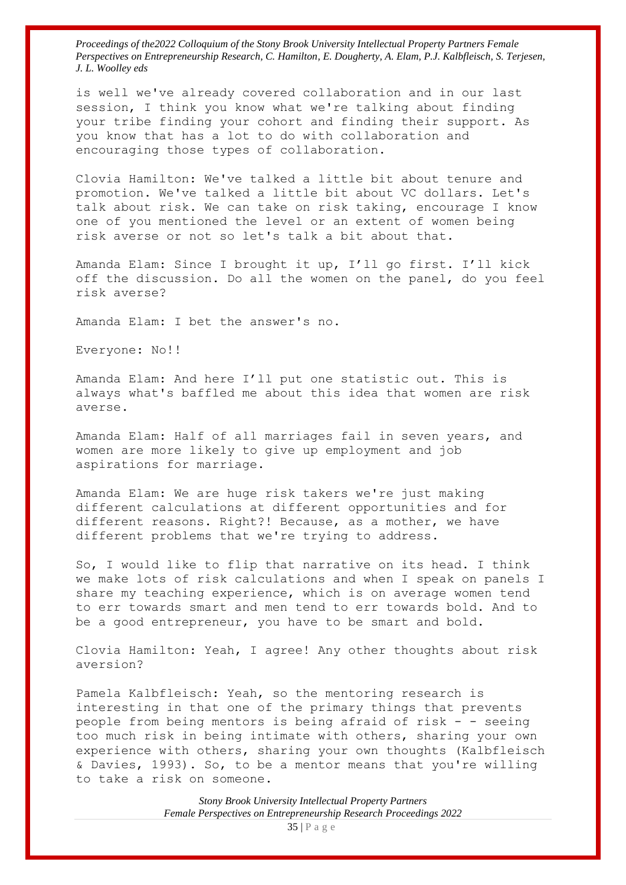is well we've already covered collaboration and in our last session, I think you know what we're talking about finding your tribe finding your cohort and finding their support. As you know that has a lot to do with collaboration and encouraging those types of collaboration.

Clovia Hamilton: We've talked a little bit about tenure and promotion. We've talked a little bit about VC dollars. Let's talk about risk. We can take on risk taking, encourage I know one of you mentioned the level or an extent of women being risk averse or not so let's talk a bit about that.

Amanda Elam: Since I brought it up, I'll go first. I'll kick off the discussion. Do all the women on the panel, do you feel risk averse?

Amanda Elam: I bet the answer's no.

Everyone: No!!

Amanda Elam: And here I'll put one statistic out. This is always what's baffled me about this idea that women are risk averse.

Amanda Elam: Half of all marriages fail in seven years, and women are more likely to give up employment and job aspirations for marriage.

Amanda Elam: We are huge risk takers we're just making different calculations at different opportunities and for different reasons. Right?! Because, as a mother, we have different problems that we're trying to address.

So, I would like to flip that narrative on its head. I think we make lots of risk calculations and when I speak on panels I share my teaching experience, which is on average women tend to err towards smart and men tend to err towards bold. And to be a good entrepreneur, you have to be smart and bold.

Clovia Hamilton: Yeah, I agree! Any other thoughts about risk aversion?

Pamela Kalbfleisch: Yeah, so the mentoring research is interesting in that one of the primary things that prevents people from being mentors is being afraid of risk - - seeing too much risk in being intimate with others, sharing your own experience with others, sharing your own thoughts (Kalbfleisch & Davies, 1993). So, to be a mentor means that you're willing to take a risk on someone.

> *Stony Brook University Intellectual Property Partners Female Perspectives on Entrepreneurship Research Proceedings 2022*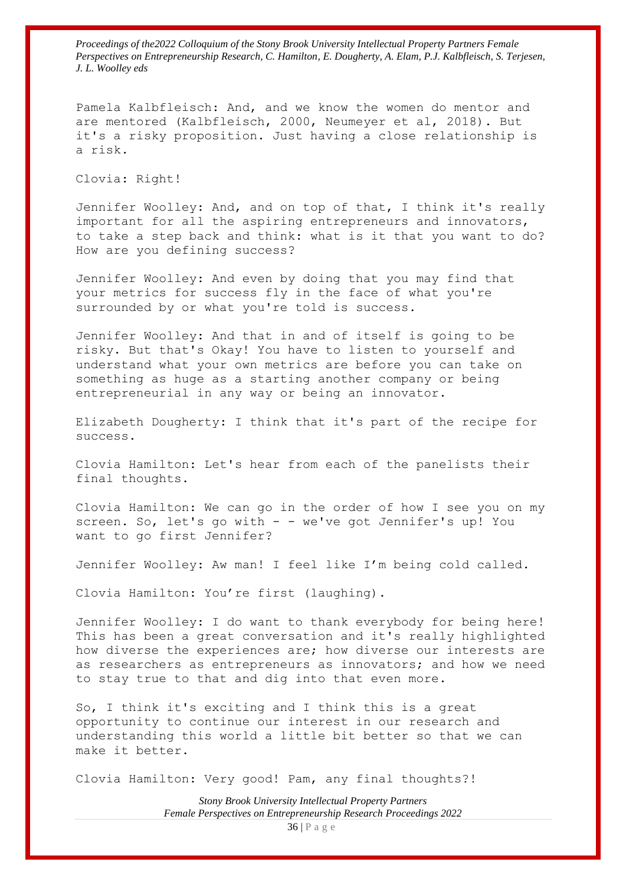Pamela Kalbfleisch: And, and we know the women do mentor and are mentored (Kalbfleisch, 2000, Neumeyer et al, 2018). But it's a risky proposition. Just having a close relationship is a risk.

Clovia: Right!

Jennifer Woolley: And, and on top of that, I think it's really important for all the aspiring entrepreneurs and innovators, to take a step back and think: what is it that you want to do? How are you defining success?

Jennifer Woolley: And even by doing that you may find that your metrics for success fly in the face of what you're surrounded by or what you're told is success.

Jennifer Woolley: And that in and of itself is going to be risky. But that's Okay! You have to listen to yourself and understand what your own metrics are before you can take on something as huge as a starting another company or being entrepreneurial in any way or being an innovator.

Elizabeth Dougherty: I think that it's part of the recipe for success.

Clovia Hamilton: Let's hear from each of the panelists their final thoughts.

Clovia Hamilton: We can go in the order of how I see you on my screen. So, let's go with - - we've got Jennifer's up! You want to go first Jennifer?

Jennifer Woolley: Aw man! I feel like I'm being cold called.

Clovia Hamilton: You're first (laughing).

Jennifer Woolley: I do want to thank everybody for being here! This has been a great conversation and it's really highlighted how diverse the experiences are; how diverse our interests are as researchers as entrepreneurs as innovators; and how we need to stay true to that and dig into that even more.

So, I think it's exciting and I think this is a great opportunity to continue our interest in our research and understanding this world a little bit better so that we can make it better.

Clovia Hamilton: Very good! Pam, any final thoughts?!

*Stony Brook University Intellectual Property Partners Female Perspectives on Entrepreneurship Research Proceedings 2022*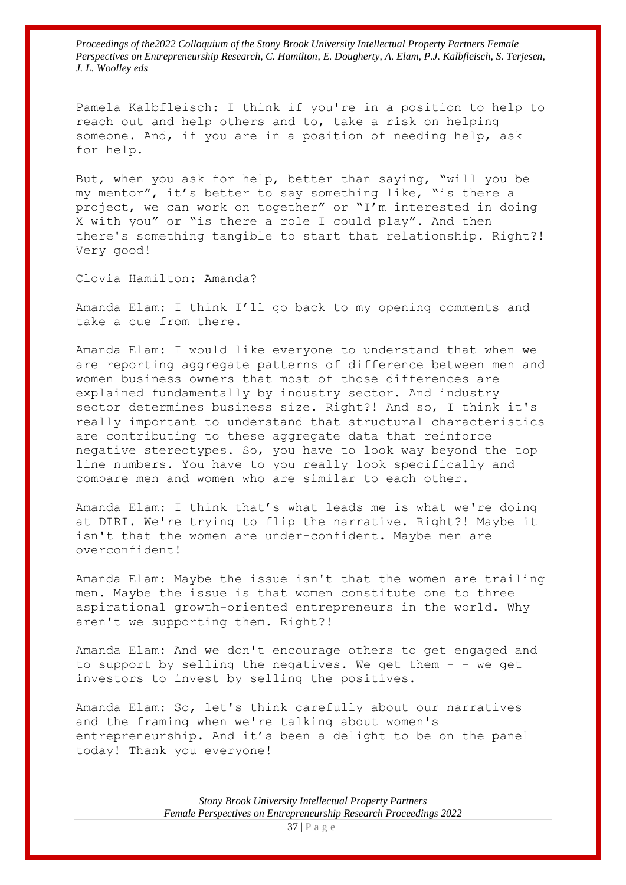Pamela Kalbfleisch: I think if you're in a position to help to reach out and help others and to, take a risk on helping someone. And, if you are in a position of needing help, ask for help.

But, when you ask for help, better than saying, "will you be my mentor", it's better to say something like, "is there a project, we can work on together" or "I'm interested in doing X with you" or "is there a role I could play". And then there's something tangible to start that relationship. Right?! Very good!

Clovia Hamilton: Amanda?

Amanda Elam: I think I'll go back to my opening comments and take a cue from there.

Amanda Elam: I would like everyone to understand that when we are reporting aggregate patterns of difference between men and women business owners that most of those differences are explained fundamentally by industry sector. And industry sector determines business size. Right?! And so, I think it's really important to understand that structural characteristics are contributing to these aggregate data that reinforce negative stereotypes. So, you have to look way beyond the top line numbers. You have to you really look specifically and compare men and women who are similar to each other.

Amanda Elam: I think that's what leads me is what we're doing at DIRI. We're trying to flip the narrative. Right?! Maybe it isn't that the women are under-confident. Maybe men are overconfident!

Amanda Elam: Maybe the issue isn't that the women are trailing men. Maybe the issue is that women constitute one to three aspirational growth-oriented entrepreneurs in the world. Why aren't we supporting them. Right?!

Amanda Elam: And we don't encourage others to get engaged and to support by selling the negatives. We get them  $-$  - we get investors to invest by selling the positives.

Amanda Elam: So, let's think carefully about our narratives and the framing when we're talking about women's entrepreneurship. And it's been a delight to be on the panel today! Thank you everyone!

> *Stony Brook University Intellectual Property Partners Female Perspectives on Entrepreneurship Research Proceedings 2022*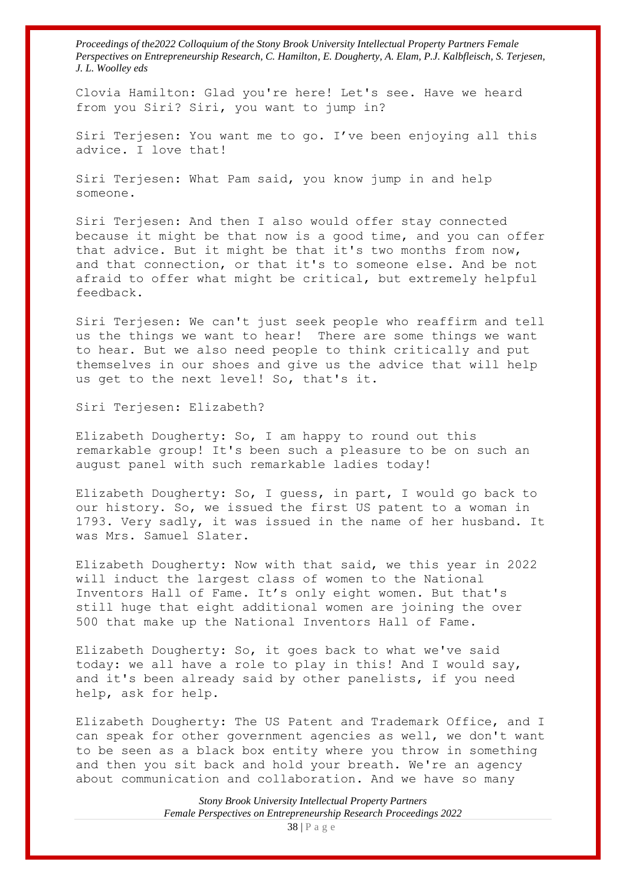Clovia Hamilton: Glad you're here! Let's see. Have we heard from you Siri? Siri, you want to jump in?

Siri Terjesen: You want me to go. I've been enjoying all this advice. I love that!

Siri Terjesen: What Pam said, you know jump in and help someone.

Siri Terjesen: And then I also would offer stay connected because it might be that now is a good time, and you can offer that advice. But it might be that it's two months from now, and that connection, or that it's to someone else. And be not afraid to offer what might be critical, but extremely helpful feedback.

Siri Terjesen: We can't just seek people who reaffirm and tell us the things we want to hear! There are some things we want to hear. But we also need people to think critically and put themselves in our shoes and give us the advice that will help us get to the next level! So, that's it.

Siri Terjesen: Elizabeth?

Elizabeth Dougherty: So, I am happy to round out this remarkable group! It's been such a pleasure to be on such an august panel with such remarkable ladies today!

Elizabeth Dougherty: So, I guess, in part, I would go back to our history. So, we issued the first US patent to a woman in 1793. Very sadly, it was issued in the name of her husband. It was Mrs. Samuel Slater.

Elizabeth Dougherty: Now with that said, we this year in 2022 will induct the largest class of women to the National Inventors Hall of Fame. It's only eight women. But that's still huge that eight additional women are joining the over 500 that make up the National Inventors Hall of Fame.

Elizabeth Dougherty: So, it goes back to what we've said today: we all have a role to play in this! And I would say, and it's been already said by other panelists, if you need help, ask for help.

Elizabeth Dougherty: The US Patent and Trademark Office, and I can speak for other government agencies as well, we don't want to be seen as a black box entity where you throw in something and then you sit back and hold your breath. We're an agency about communication and collaboration. And we have so many

> *Stony Brook University Intellectual Property Partners Female Perspectives on Entrepreneurship Research Proceedings 2022*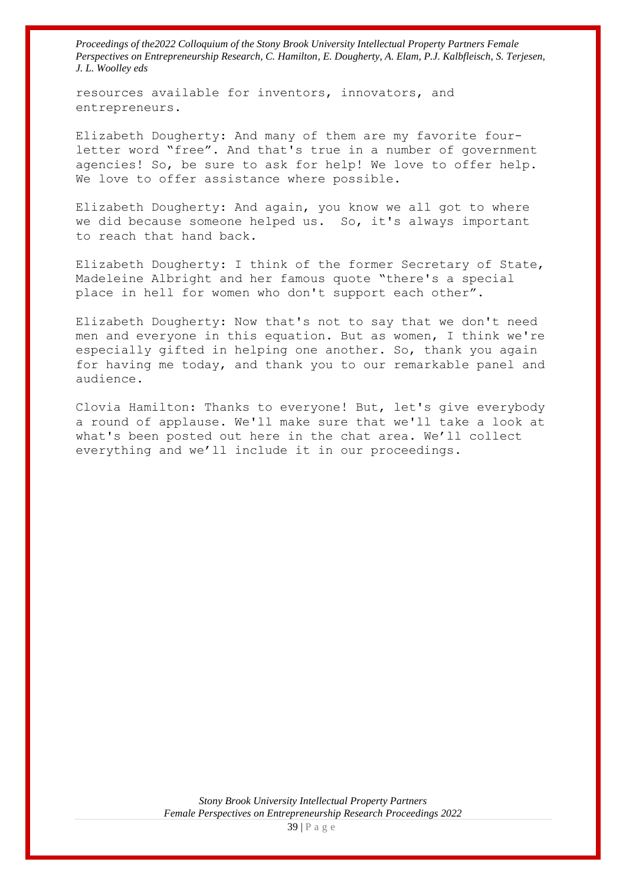resources available for inventors, innovators, and entrepreneurs.

Elizabeth Dougherty: And many of them are my favorite fourletter word "free". And that's true in a number of government agencies! So, be sure to ask for help! We love to offer help. We love to offer assistance where possible.

Elizabeth Dougherty: And again, you know we all got to where we did because someone helped us. So, it's always important to reach that hand back.

Elizabeth Dougherty: I think of the former Secretary of State, Madeleine Albright and her famous quote "there's a special place in hell for women who don't support each other".

Elizabeth Dougherty: Now that's not to say that we don't need men and everyone in this equation. But as women, I think we're especially gifted in helping one another. So, thank you again for having me today, and thank you to our remarkable panel and audience.

Clovia Hamilton: Thanks to everyone! But, let's give everybody a round of applause. We'll make sure that we'll take a look at what's been posted out here in the chat area. We'll collect everything and we'll include it in our proceedings.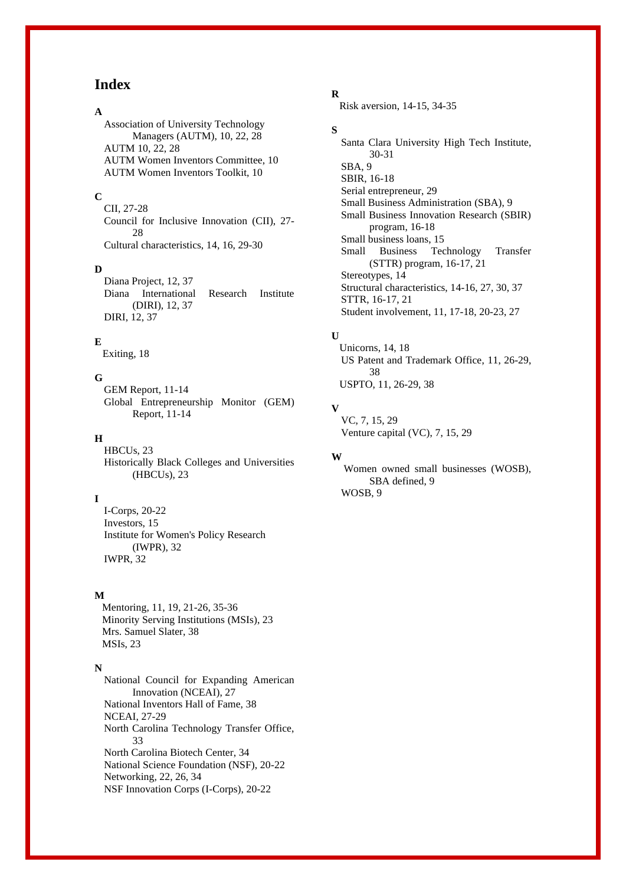## **Index**

#### **A**

Association of University Technology Managers (AUTM), 10, 22, 28 AUTM 10, 22, 28 AUTM Women Inventors Committee, 10 AUTM Women Inventors Toolkit, 10

#### **C**

CII, 27-28 Council for Inclusive Innovation (CII), 27- 28 Cultural characteristics, 14, 16, 29-30

#### **D**

Diana Project, 12, 37 Diana International Research Institute (DIRI), 12, 37 DIRI, 12, 37

#### **E**

Exiting, 18

#### **G**

GEM Report, 11-14 Global Entrepreneurship Monitor (GEM) Report, 11-14

#### **H**

HBCUs, 23 Historically Black Colleges and Universities (HBCUs), 23

#### **I**

I-Corps, 20-22 Investors, 15 Institute for Women's Policy Research (IWPR), 32 IWPR, 32

#### **M**

Mentoring, 11, 19, 21-26, 35-36 Minority Serving Institutions (MSIs), 23 Mrs. Samuel Slater, 38 MSIs, 23

#### **N**

National Council for Expanding American Innovation (NCEAI), 27 National Inventors Hall of Fame, 38 NCEAI, 27-29 North Carolina Technology Transfer Office, 33 North Carolina Biotech Center, 34 National Science Foundation (NSF), 20-22 Networking, 22, 26, 34 NSF Innovation Corps (I-Corps), 20-22

## **R**

Risk aversion, 14-15, 34-35

#### **S**

Santa Clara University High Tech Institute, 30-31 SBA, 9 SBIR, 16-18 Serial entrepreneur, 29 Small Business Administration (SBA), 9 Small Business Innovation Research (SBIR) program, 16-18 Small business loans, 15 Small Business Technology Transfer (STTR) program, 16-17, 21 Stereotypes, 14 Structural characteristics, 14-16, 27, 30, 37 STTR, 16-17, 21 Student involvement, 11, 17-18, 20-23, 27

#### **U**

 Unicorns, 14, 18 US Patent and Trademark Office, 11, 26-29, 38 USPTO, 11, 26-29, 38

## **V**

VC, 7, 15, 29 Venture capital (VC), 7, 15, 29

#### **W**

Women owned small businesses (WOSB), SBA defined, 9 WOSB, 9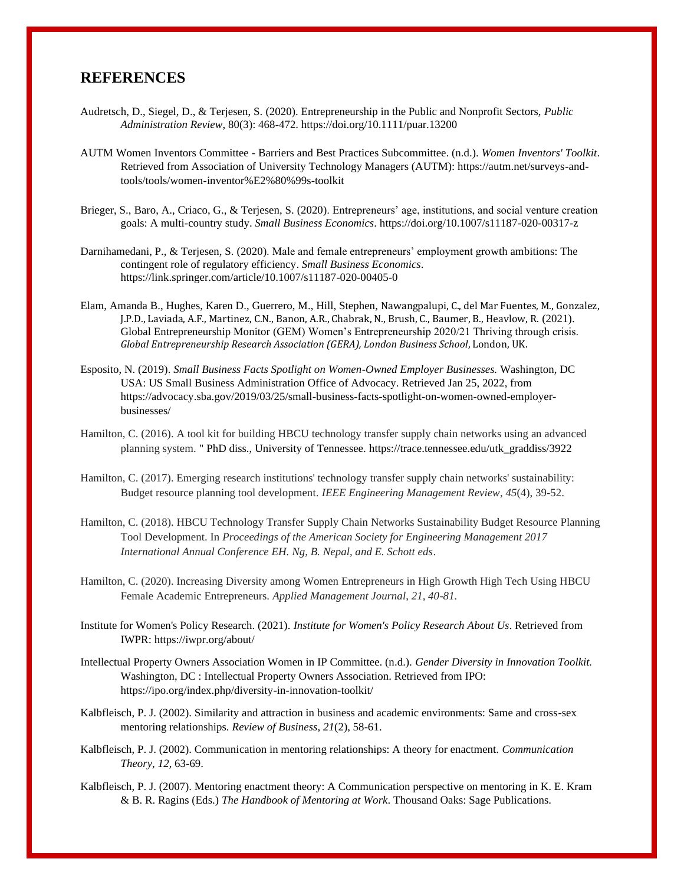## **REFERENCES**

- Audretsch, D., Siegel, D., & Terjesen, S. (2020). Entrepreneurship in the Public and Nonprofit Sectors, *Public Administration Review*, 80(3): 468-472. https://doi.org/10.1111/puar.13200
- AUTM Women Inventors Committee Barriers and Best Practices Subcommittee. (n.d.). *Women Inventors' Toolkit*. Retrieved from Association of University Technology Managers (AUTM): https://autm.net/surveys-andtools/tools/women-inventor%E2%80%99s-toolkit
- Brieger, S., Baro, A., Criaco, G., & Terjesen, S. (2020). Entrepreneurs' age, institutions, and social venture creation goals: A multi-country study. *Small Business Economics*. https://doi.org/10.1007/s11187-020-00317-z
- Darnihamedani, P., & Terjesen, S. (2020). Male and female entrepreneurs' employment growth ambitions: The contingent role of regulatory efficiency. *Small Business Economics*. https://link.springer.com/article/10.1007/s11187-020-00405-0
- Elam, Amanda B., Hughes, Karen D., Guerrero, M., Hill, Stephen, Nawangpalupi, C., del Mar Fuentes, M., Gonzalez, J.P.D., Laviada, A.F., Martinez, C.N., Banon, A.R., Chabrak, N., Brush, C., Baumer, B., Heavlow, R. (2021). Global Entrepreneurship Monitor (GEM) Women's Entrepreneurship 2020/21 Thriving through crisis. *Global Entrepreneurship Research Association (GERA), London Business School*, London, UK.
- Esposito, N. (2019). *Small Business Facts Spotlight on Women-Owned Employer Businesses.* Washington, DC USA: US Small Business Administration Office of Advocacy. Retrieved Jan 25, 2022, from https://advocacy.sba.gov/2019/03/25/small-business-facts-spotlight-on-women-owned-employerbusinesses/
- Hamilton, C. (2016). A tool kit for building HBCU technology transfer supply chain networks using an advanced planning system. " PhD diss., University of Tennessee. https://trace.tennessee.edu/utk\_graddiss/3922
- Hamilton, C. (2017). Emerging research institutions' technology transfer supply chain networks' sustainability: Budget resource planning tool development. *IEEE Engineering Management Review*, *45*(4), 39-52.
- Hamilton, C. (2018). HBCU Technology Transfer Supply Chain Networks Sustainability Budget Resource Planning Tool Development. In *Proceedings of the American Society for Engineering Management 2017 International Annual Conference EH. Ng, B. Nepal, and E. Schott eds*.
- Hamilton, C. (2020). Increasing Diversity among Women Entrepreneurs in High Growth High Tech Using HBCU Female Academic Entrepreneurs. *Applied Management Journal, 21, 40-81.*
- Institute for Women's Policy Research. (2021). *Institute for Women's Policy Research About Us*. Retrieved from IWPR: https://iwpr.org/about/
- Intellectual Property Owners Association Women in IP Committee. (n.d.). *Gender Diversity in Innovation Toolkit.* Washington, DC : Intellectual Property Owners Association. Retrieved from IPO: https://ipo.org/index.php/diversity-in-innovation-toolkit/
- Kalbfleisch, P. J. (2002). Similarity and attraction in business and academic environments: Same and cross-sex mentoring relationships. *Review of Business*, *21*(2), 58-61.
- Kalbfleisch, P. J. (2002). Communication in mentoring relationships: A theory for enactment. *Communication Theory*, *12,* 63-69.
- Kalbfleisch, P. J. (2007). Mentoring enactment theory: A Communication perspective on mentoring in K. E. Kram & B. R. Ragins (Eds.) *The Handbook of Mentoring at Work*. Thousand Oaks: Sage Publications.